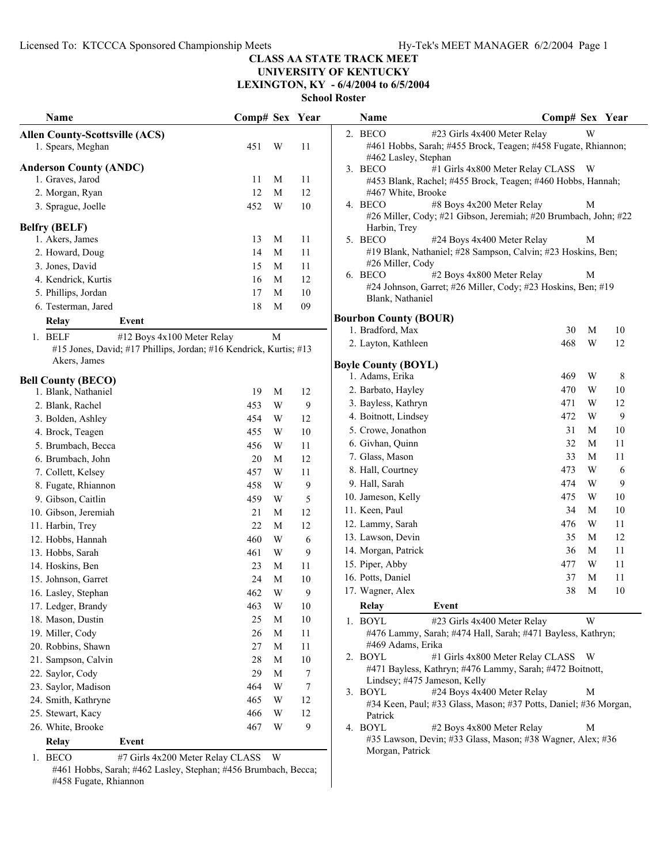**UNIVERSITY OF KENTUCKY LEXINGTON, KY - 6/4/2004 to 6/5/2004**

**School Roster**

| Name                                    |                                                                   | Comp# Sex Year |             |    | Name                         |                                                                                            | Comp# Sex Year |                         |          |
|-----------------------------------------|-------------------------------------------------------------------|----------------|-------------|----|------------------------------|--------------------------------------------------------------------------------------------|----------------|-------------------------|----------|
| <b>Allen County-Scottsville (ACS)</b>   |                                                                   |                |             |    | 2. BECO                      | #23 Girls 4x400 Meter Relay                                                                |                | W                       |          |
| 1. Spears, Meghan                       |                                                                   | 451            | W           | 11 | #462 Lasley, Stephan         | #461 Hobbs, Sarah; #455 Brock, Teagen; #458 Fugate, Rhiannon;                              |                |                         |          |
| <b>Anderson County (ANDC)</b>           |                                                                   |                |             |    | 3. BECO                      | #1 Girls 4x800 Meter Relay CLASS W                                                         |                |                         |          |
| 1. Graves, Jarod                        |                                                                   | 11             | M           | 11 |                              | #453 Blank, Rachel; #455 Brock, Teagen; #460 Hobbs, Hannah;                                |                |                         |          |
| 2. Morgan, Ryan                         |                                                                   | 12             | M           | 12 | #467 White, Brooke           |                                                                                            |                |                         |          |
| 3. Sprague, Joelle                      |                                                                   | 452            | W           | 10 | 4. BECO                      | #8 Boys 4x200 Meter Relay                                                                  |                | M                       |          |
|                                         |                                                                   |                |             |    |                              | #26 Miller, Cody; #21 Gibson, Jeremiah; #20 Brumbach, John; #22                            |                |                         |          |
| <b>Belfry (BELF)</b><br>1. Akers, James |                                                                   | 13             | M           | 11 | Harbin, Trev                 |                                                                                            |                |                         |          |
| 2. Howard, Doug                         |                                                                   | 14             | M           | 11 | 5. BECO                      | #24 Boys 4x400 Meter Relay<br>#19 Blank, Nathaniel; #28 Sampson, Calvin; #23 Hoskins, Ben; |                | M                       |          |
| 3. Jones, David                         |                                                                   | 15             | M           | 11 | #26 Miller, Cody             |                                                                                            |                |                         |          |
| 4. Kendrick, Kurtis                     |                                                                   | 16             | M           | 12 | 6. BECO                      | #2 Boys 4x800 Meter Relay                                                                  |                | M                       |          |
| 5. Phillips, Jordan                     |                                                                   | 17             | M           | 10 |                              | #24 Johnson, Garret; #26 Miller, Cody; #23 Hoskins, Ben; #19                               |                |                         |          |
| 6. Testerman, Jared                     |                                                                   | 18             | M           | 09 | Blank, Nathaniel             |                                                                                            |                |                         |          |
|                                         | Event                                                             |                |             |    | <b>Bourbon County (BOUR)</b> |                                                                                            |                |                         |          |
| <b>Relay</b>                            |                                                                   |                |             |    | 1. Bradford, Max             |                                                                                            | 30             | M                       | 10       |
| 1. BELF                                 | #12 Boys 4x100 Meter Relay                                        |                | M           |    | 2. Layton, Kathleen          |                                                                                            | 468            | W                       | 12       |
| Akers, James                            | #15 Jones, David; #17 Phillips, Jordan; #16 Kendrick, Kurtis; #13 |                |             |    |                              |                                                                                            |                |                         |          |
|                                         |                                                                   |                |             |    | <b>Boyle County (BOYL)</b>   |                                                                                            |                |                         |          |
| <b>Bell County (BECO)</b>               |                                                                   |                |             |    | 1. Adams, Erika              |                                                                                            | 469            | W                       | 8        |
| 1. Blank, Nathaniel                     |                                                                   | 19             | M           | 12 | 2. Barbato, Hayley           |                                                                                            | 470            | W                       | 10       |
| 2. Blank, Rachel                        |                                                                   | 453            | W           | 9  | 3. Bayless, Kathryn          |                                                                                            | 471            | W                       | 12       |
| 3. Bolden, Ashley                       |                                                                   | 454            | W           | 12 | 4. Boitnott, Lindsey         |                                                                                            | 472            | W                       | 9        |
| 4. Brock, Teagen                        |                                                                   | 455            | W           | 10 | 5. Crowe, Jonathon           |                                                                                            | 31<br>32       | M<br>M                  | 10<br>11 |
| 5. Brumbach, Becca                      |                                                                   | 456            | W           | 11 | 6. Givhan, Quinn             |                                                                                            |                | M                       | 11       |
| 6. Brumbach, John                       |                                                                   | 20             | M           | 12 | 7. Glass, Mason              |                                                                                            | 33<br>473      | W                       |          |
| 7. Collett, Kelsey                      |                                                                   | 457            | W           | 11 | 8. Hall, Courtney            |                                                                                            |                |                         | 6        |
| 8. Fugate, Rhiannon                     |                                                                   | 458            | W           | 9  | 9. Hall, Sarah               |                                                                                            | 474<br>475     | W<br>W                  | 9        |
| 9. Gibson, Caitlin                      |                                                                   | 459            | W           | 5  | 10. Jameson, Kelly           |                                                                                            |                |                         | 10       |
| 10. Gibson, Jeremiah                    |                                                                   | 21             | M           | 12 | 11. Keen, Paul               |                                                                                            | 34             | M                       | 10       |
| 11. Harbin, Trey                        |                                                                   | 22             | M           | 12 | 12. Lammy, Sarah             |                                                                                            | 476            | W                       | 11       |
| 12. Hobbs, Hannah                       |                                                                   | 460            | W           | 6  | 13. Lawson, Devin            |                                                                                            | 35             | M                       | 12       |
| 13. Hobbs, Sarah                        |                                                                   | 461            | W           | 9  | 14. Morgan, Patrick          |                                                                                            | 36             | M<br>W                  | 11       |
| 14. Hoskins, Ben                        |                                                                   | 23             | M           | 11 | 15. Piper, Abby              |                                                                                            | 477<br>37      | M                       | 11<br>11 |
| 15. Johnson, Garret                     |                                                                   | 24             | M           | 10 | 16. Potts, Daniel            |                                                                                            | 38             | M                       | $10\,$   |
| 16. Lasley, Stephan                     |                                                                   | 462            | W           | 9  | 17. Wagner, Alex             |                                                                                            |                |                         |          |
| 17. Ledger, Brandy                      |                                                                   | 463            | W           | 10 | Relay                        | Event                                                                                      |                |                         |          |
| 18. Mason, Dustin                       |                                                                   | 25             | $\mathbf M$ | 10 | 1. BOYL                      | #23 Girls 4x400 Meter Relay                                                                |                | $\ensuremath{\text{W}}$ |          |
| 19. Miller, Cody                        |                                                                   | 26             | M           | 11 | #469 Adams, Erika            | #476 Lammy, Sarah; #474 Hall, Sarah; #471 Bayless, Kathryn;                                |                |                         |          |
| 20. Robbins, Shawn                      |                                                                   | 27             | M           | 11 | 2. BOYL                      | #1 Girls 4x800 Meter Relay CLASS W                                                         |                |                         |          |
| 21. Sampson, Calvin                     |                                                                   | 28             | M           | 10 |                              | #471 Bayless, Kathryn; #476 Lammy, Sarah; #472 Boitnott,                                   |                |                         |          |
| 22. Saylor, Cody                        |                                                                   | 29             | M           | 7  |                              | Lindsey; #475 Jameson, Kelly                                                               |                |                         |          |
| 23. Saylor, Madison                     |                                                                   | 464            | W           | 7  | 3. BOYL                      | #24 Boys 4x400 Meter Relay                                                                 |                | M                       |          |
| 24. Smith, Kathryne                     |                                                                   | 465            | W           | 12 |                              | #34 Keen, Paul; #33 Glass, Mason; #37 Potts, Daniel; #36 Morgan,                           |                |                         |          |
| 25. Stewart, Kacy                       |                                                                   | 466            | W           | 12 | Patrick                      |                                                                                            |                |                         |          |
| 26. White, Brooke                       |                                                                   | 467            | W           | 9  | 4. BOYL                      | #2 Boys 4x800 Meter Relay                                                                  |                | M                       |          |
| Relay                                   | Event                                                             |                |             |    | Morgan, Patrick              | #35 Lawson, Devin; #33 Glass, Mason; #38 Wagner, Alex; #36                                 |                |                         |          |
| 1. BECO                                 | #7 Girls 4x200 Meter Relay CLASS                                  |                | W           |    |                              |                                                                                            |                |                         |          |

#461 Hobbs, Sarah; #462 Lasley, Stephan; #456 Brumbach, Becca; #458 Fugate, Rhiannon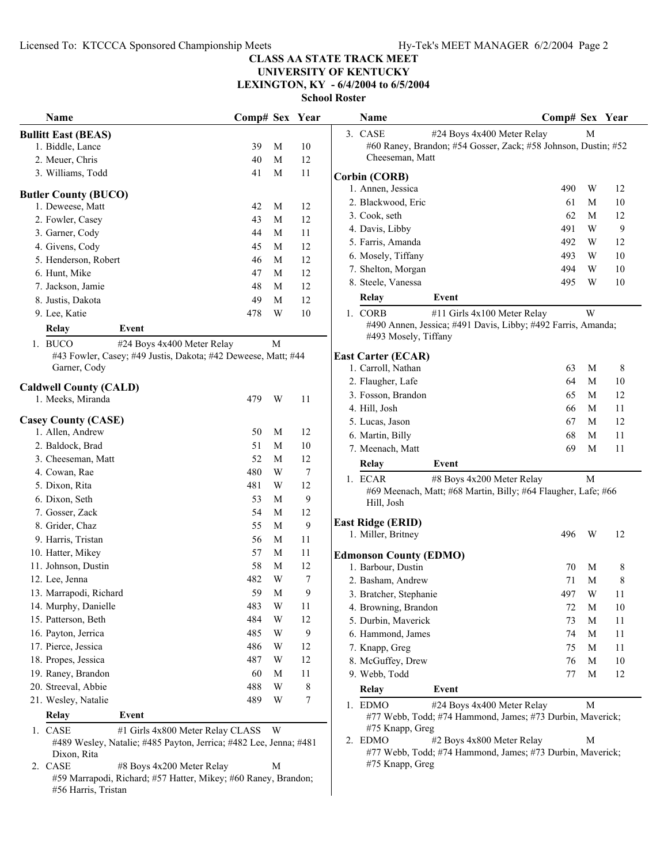**UNIVERSITY OF KENTUCKY**

**LEXINGTON, KY - 6/4/2004 to 6/5/2004**

| Name                                                                                  | Comp# Sex Year |   |                  | Name                                                                                                  | Comp# Sex Year |   |    |
|---------------------------------------------------------------------------------------|----------------|---|------------------|-------------------------------------------------------------------------------------------------------|----------------|---|----|
| <b>Bullitt East (BEAS)</b>                                                            |                |   |                  | 3. CASE<br>#24 Boys 4x400 Meter Relay                                                                 |                | M |    |
| 1. Biddle, Lance                                                                      | 39             | M | 10               | #60 Raney, Brandon; #54 Gosser, Zack; #58 Johnson, Dustin; #52                                        |                |   |    |
| 2. Meuer, Chris                                                                       | 40             | M | 12               | Cheeseman, Matt                                                                                       |                |   |    |
| 3. Williams, Todd                                                                     | 41             | M | 11               | <b>Corbin (CORB)</b>                                                                                  |                |   |    |
|                                                                                       |                |   |                  | 1. Annen, Jessica                                                                                     | 490            | W | 12 |
| <b>Butler County (BUCO)</b><br>1. Deweese, Matt                                       | 42             | M | 12               | 2. Blackwood, Eric                                                                                    | 61             | M | 10 |
| 2. Fowler, Casey                                                                      | 43             | M | 12               | 3. Cook, seth                                                                                         | 62             | M | 12 |
| 3. Garner, Cody                                                                       | 44             | M | 11               | 4. Davis, Libby                                                                                       | 491            | W | 9  |
| 4. Givens, Cody                                                                       | 45             | M | 12               | 5. Farris, Amanda                                                                                     | 492            | W | 12 |
| 5. Henderson, Robert                                                                  | 46             | M | 12               | 6. Mosely, Tiffany                                                                                    | 493            | W | 10 |
| 6. Hunt, Mike                                                                         | 47             | M | 12               | 7. Shelton, Morgan                                                                                    | 494            | W | 10 |
| 7. Jackson, Jamie                                                                     | 48             | M | 12               | 8. Steele, Vanessa                                                                                    | 495            | W | 10 |
| 8. Justis, Dakota                                                                     | 49             | M | 12               | Relay<br>Event                                                                                        |                |   |    |
| 9. Lee, Katie                                                                         | 478            | W | $10\,$           | #11 Girls 4x100 Meter Relay<br>1. CORB                                                                |                | W |    |
| <b>Relay</b><br>Event                                                                 |                |   |                  | #490 Annen, Jessica; #491 Davis, Libby; #492 Farris, Amanda;                                          |                |   |    |
|                                                                                       |                |   |                  | #493 Mosely, Tiffany                                                                                  |                |   |    |
| 1. BUCO<br>#24 Boys 4x400 Meter Relay                                                 |                | M |                  |                                                                                                       |                |   |    |
| #43 Fowler, Casey; #49 Justis, Dakota; #42 Deweese, Matt; #44<br>Garner, Cody         |                |   |                  | <b>East Carter (ECAR)</b><br>1. Carroll, Nathan                                                       | 63             | M | 8  |
|                                                                                       |                |   |                  | 2. Flaugher, Lafe                                                                                     | 64             | M | 10 |
| <b>Caldwell County (CALD)</b>                                                         |                |   |                  | 3. Fosson, Brandon                                                                                    | 65             | M | 12 |
| 1. Meeks, Miranda                                                                     | 479            | W | 11               | 4. Hill, Josh                                                                                         | 66             | M | 11 |
| <b>Casey County (CASE)</b>                                                            |                |   |                  | 5. Lucas, Jason                                                                                       | 67             | M | 12 |
| 1. Allen, Andrew                                                                      | 50             | M | 12               | 6. Martin, Billy                                                                                      | 68             | M | 11 |
| 2. Baldock, Brad                                                                      | 51             | М | 10               | 7. Meenach, Matt                                                                                      | 69             | M | 11 |
| 3. Cheeseman, Matt                                                                    | 52             | М | 12               | Relay<br>Event                                                                                        |                |   |    |
| 4. Cowan, Rae                                                                         | 480            | W | 7                |                                                                                                       |                |   |    |
| 5. Dixon, Rita                                                                        | 481            | W | 12               | 1. ECAR<br>#8 Boys 4x200 Meter Relay<br>#69 Meenach, Matt; #68 Martin, Billy; #64 Flaugher, Lafe; #66 |                | M |    |
| 6. Dixon, Seth                                                                        | 53             | М | 9                | Hill, Josh                                                                                            |                |   |    |
| 7. Gosser, Zack                                                                       | 54             | М | 12               |                                                                                                       |                |   |    |
| 8. Grider, Chaz                                                                       | 55             | M | 9                | <b>East Ridge (ERID)</b>                                                                              |                |   |    |
| 9. Harris, Tristan                                                                    | 56             | M | 11               | 1. Miller, Britney                                                                                    | 496            | W | 12 |
| 10. Hatter, Mikey                                                                     | 57             | М | 11               | <b>Edmonson County (EDMO)</b>                                                                         |                |   |    |
| 11. Johnson, Dustin                                                                   | 58             | M | 12               | 1. Barbour, Dustin                                                                                    | 70             | M | 8  |
| 12. Lee, Jenna                                                                        | 482            | W | 7                | 2. Basham, Andrew                                                                                     | 71             | M | 8  |
| 13. Marrapodi, Richard                                                                | 59             | M | 9                | 3. Bratcher, Stephanie                                                                                | 497            | W | 11 |
| 14. Murphy, Danielle                                                                  | 483            | W | 11               | 4. Browning, Brandon                                                                                  | $72\,$         | M | 10 |
| 15. Patterson, Beth                                                                   | 484            | W | 12               | 5. Durbin, Maverick                                                                                   | 73             | M | 11 |
| 16. Payton, Jerrica                                                                   | 485            | W | $\boldsymbol{9}$ | 6. Hammond, James                                                                                     | 74             | M | 11 |
| 17. Pierce, Jessica                                                                   | 486            | W | 12               | 7. Knapp, Greg                                                                                        | 75             | M | 11 |
| 18. Propes, Jessica                                                                   | 487            | W | 12               | 8. McGuffey, Drew                                                                                     | 76             | M | 10 |
| 19. Raney, Brandon                                                                    | 60             | M | 11               | 9. Webb, Todd                                                                                         | 77             | M | 12 |
| 20. Streeval, Abbie                                                                   | 488            | W | $\,8\,$          | Relay<br>Event                                                                                        |                |   |    |
| 21. Wesley, Natalie                                                                   | 489            | W | $\boldsymbol{7}$ | 1. EDMO<br>#24 Boys 4x400 Meter Relay                                                                 |                | M |    |
| Relay<br>Event                                                                        |                |   |                  | #77 Webb, Todd; #74 Hammond, James; #73 Durbin, Maverick;                                             |                |   |    |
| 1. CASE<br>#1 Girls 4x800 Meter Relay CLASS W                                         |                |   |                  | #75 Knapp, Greg                                                                                       |                |   |    |
| #489 Wesley, Natalie; #485 Payton, Jerrica; #482 Lee, Jenna; #481                     |                |   |                  | 2. EDMO<br>#2 Boys 4x800 Meter Relay                                                                  |                | M |    |
| Dixon, Rita                                                                           |                |   |                  | #77 Webb, Todd; #74 Hammond, James; #73 Durbin, Maverick;                                             |                |   |    |
| 2. CASE<br>#8 Boys 4x200 Meter Relay                                                  |                | M |                  | #75 Knapp, Greg                                                                                       |                |   |    |
| #59 Marrapodi, Richard; #57 Hatter, Mikey; #60 Raney, Brandon;<br>#56 Harris, Tristan |                |   |                  |                                                                                                       |                |   |    |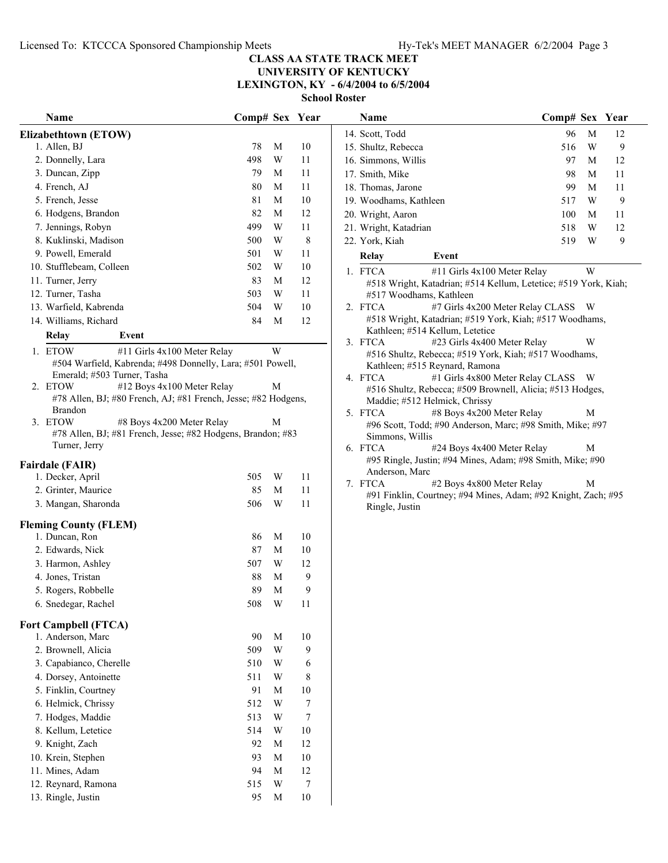#### **CLASS AA STATE TRACK MEET UNIVERSITY OF KENTUCKY**

**LEXINGTON, KY - 6/4/2004 to 6/5/2004**

| <b>Name</b>                                                                  | Comp# Sex Year |                         |        | Name                                                                            | Comp# Sex Year |   |              |
|------------------------------------------------------------------------------|----------------|-------------------------|--------|---------------------------------------------------------------------------------|----------------|---|--------------|
| Elizabethtown (ETOW)                                                         |                |                         |        | 14. Scott, Todd                                                                 | 96             | M | 12           |
| 1. Allen, BJ                                                                 | 78             | M                       | 10     | 15. Shultz, Rebecca                                                             | 516            | W | 9            |
| 2. Donnelly, Lara                                                            | 498            | W                       | 11     | 16. Simmons, Willis                                                             | 97             | M | 12           |
| 3. Duncan, Zipp                                                              | 79             | M                       | 11     | 17. Smith, Mike                                                                 | 98             | M | 11           |
| 4. French, AJ                                                                | 80             | M                       | 11     | 18. Thomas, Jarone                                                              | 99             | M | 11           |
| 5. French, Jesse                                                             | 81             | M                       | 10     | 19. Woodhams, Kathleen                                                          | 517            | W | 9            |
| 6. Hodgens, Brandon                                                          | 82             | M                       | 12     | 20. Wright, Aaron                                                               | 100            | M | 11           |
| 7. Jennings, Robyn                                                           | 499            | W                       | 11     | 21. Wright, Katadrian                                                           | 518            | W | 12           |
| 8. Kuklinski, Madison                                                        | 500            | W                       | 8      | 22. York, Kiah                                                                  | 519            | W | $\mathbf{9}$ |
| 9. Powell, Emerald                                                           | 501            | W                       | 11     | Event<br>Relay                                                                  |                |   |              |
| 10. Stufflebeam, Colleen                                                     | 502            | $\ensuremath{\text{W}}$ | 10     | 1. FTCA<br>#11 Girls 4x100 Meter Relay                                          |                | W |              |
| 11. Turner, Jerry                                                            | 83             | M                       | 12     | #518 Wright, Katadrian; #514 Kellum, Letetice; #519 York, Kiah;                 |                |   |              |
| 12. Turner, Tasha                                                            | 503            | W                       | 11     | #517 Woodhams, Kathleen                                                         |                |   |              |
| 13. Warfield, Kabrenda                                                       | 504            | W                       | 10     | #7 Girls 4x200 Meter Relay CLASS W<br>2. FTCA                                   |                |   |              |
| 14. Williams, Richard                                                        | 84             | M                       | 12     | #518 Wright, Katadrian; #519 York, Kiah; #517 Woodhams,                         |                |   |              |
| Relay<br>Event                                                               |                |                         |        | Kathleen; #514 Kellum, Letetice                                                 |                |   |              |
| 1. ETOW<br>#11 Girls 4x100 Meter Relay                                       |                | W                       |        | 3. FTCA<br>#23 Girls 4x400 Meter Relay                                          |                | W |              |
| #504 Warfield, Kabrenda; #498 Donnelly, Lara; #501 Powell,                   |                |                         |        | #516 Shultz, Rebecca; #519 York, Kiah; #517 Woodhams,                           |                |   |              |
| Emerald; #503 Turner, Tasha                                                  |                |                         |        | Kathleen; #515 Reynard, Ramona<br>4. FTCA<br>#1 Girls 4x800 Meter Relay CLASS W |                |   |              |
| #12 Boys 4x100 Meter Relay<br>2. ETOW                                        |                | M                       |        | #516 Shultz, Rebecca; #509 Brownell, Alicia; #513 Hodges,                       |                |   |              |
| #78 Allen, BJ; #80 French, AJ; #81 French, Jesse; #82 Hodgens,               |                |                         |        | Maddie; #512 Helmick, Chrissy                                                   |                |   |              |
| <b>Brandon</b>                                                               |                |                         |        | #8 Boys 4x200 Meter Relay<br>5. FTCA                                            |                | M |              |
| 3. ETOW<br>#8 Boys 4x200 Meter Relay                                         |                | M                       |        | #96 Scott, Todd; #90 Anderson, Marc; #98 Smith, Mike; #97                       |                |   |              |
| #78 Allen, BJ; #81 French, Jesse; #82 Hodgens, Brandon; #83<br>Turner, Jerry |                |                         |        | Simmons, Willis                                                                 |                |   |              |
|                                                                              |                |                         |        | 6. FTCA<br>#24 Boys 4x400 Meter Relay                                           |                | M |              |
| <b>Fairdale (FAIR)</b>                                                       |                |                         |        | #95 Ringle, Justin; #94 Mines, Adam; #98 Smith, Mike; #90<br>Anderson, Marc     |                |   |              |
| 1. Decker, April                                                             | 505            | W                       | 11     | 7. FTCA<br>#2 Boys 4x800 Meter Relay                                            |                | M |              |
| 2. Grinter, Maurice                                                          | 85             | M                       | 11     | #91 Finklin, Courtney; #94 Mines, Adam; #92 Knight, Zach; #95                   |                |   |              |
| 3. Mangan, Sharonda                                                          | 506            | W                       | 11     | Ringle, Justin                                                                  |                |   |              |
| <b>Fleming County (FLEM)</b>                                                 |                |                         |        |                                                                                 |                |   |              |
| 1. Duncan, Ron                                                               | 86             | M                       | 10     |                                                                                 |                |   |              |
| 2. Edwards, Nick                                                             | 87             | M                       | 10     |                                                                                 |                |   |              |
| 3. Harmon, Ashley                                                            | 507            | W                       | 12     |                                                                                 |                |   |              |
| 4. Jones, Tristan                                                            | 88             | M                       | 9      |                                                                                 |                |   |              |
| 5. Rogers, Robbelle                                                          | 89             | M                       | 9      |                                                                                 |                |   |              |
| 6. Snedegar, Rachel                                                          | 508            | W                       | 11     |                                                                                 |                |   |              |
| <b>Fort Campbell (FTCA)</b>                                                  |                |                         |        |                                                                                 |                |   |              |
| 1. Anderson, Marc                                                            | 90             | M                       | 10     |                                                                                 |                |   |              |
| 2. Brownell, Alicia                                                          | 509            | W                       | 9      |                                                                                 |                |   |              |
| 3. Capabianco, Cherelle                                                      | 510            | W                       | 6      |                                                                                 |                |   |              |
| 4. Dorsey, Antoinette                                                        | 511            | W                       | 8      |                                                                                 |                |   |              |
| 5. Finklin, Courtney                                                         | 91             | M                       | 10     |                                                                                 |                |   |              |
| 6. Helmick, Chrissy                                                          | 512            | W                       | $\tau$ |                                                                                 |                |   |              |
| 7. Hodges, Maddie                                                            | 513            | W                       | 7      |                                                                                 |                |   |              |
| 8. Kellum, Letetice                                                          | 514            | W                       | 10     |                                                                                 |                |   |              |
| 9. Knight, Zach                                                              | 92             | M                       | 12     |                                                                                 |                |   |              |
| 10. Krein, Stephen                                                           | 93             | $\mathbf M$             | 10     |                                                                                 |                |   |              |
| 11. Mines, Adam                                                              | 94             | $\mathbf M$             | 12     |                                                                                 |                |   |              |
| 12. Reynard, Ramona                                                          | 515            | W                       | 7      |                                                                                 |                |   |              |
| 13. Ringle, Justin                                                           | 95             | M                       | 10     |                                                                                 |                |   |              |
|                                                                              |                |                         |        |                                                                                 |                |   |              |

|    | Name                                                                                               | Comp# Sex |   | Year |
|----|----------------------------------------------------------------------------------------------------|-----------|---|------|
|    | 14. Scott, Todd                                                                                    | 96        | М | 12   |
|    | 15. Shultz, Rebecca                                                                                | 516       | W | 9    |
|    | 16. Simmons, Willis                                                                                | 97        | М | 12   |
|    | 17. Smith, Mike                                                                                    | 98        | М | 11   |
|    | 18. Thomas, Jarone                                                                                 | 99        | М | 11   |
|    | 19. Woodhams, Kathleen                                                                             | 517       | W | 9    |
|    | 20. Wright, Aaron                                                                                  | 100       | М | 11   |
|    | 21. Wright, Katadrian                                                                              | 518       | W | 12   |
|    | 22. York, Kiah                                                                                     | 519       | W | 9    |
|    | Relay<br>Event                                                                                     |           |   |      |
| 1. | <b>FTCA</b><br>#11 Girls 4x100 Meter Relay                                                         |           | W |      |
|    | #518 Wright, Katadrian; #514 Kellum, Letetice; #519 York, Kiah;                                    |           |   |      |
|    | #517 Woodhams, Kathleen                                                                            |           |   |      |
|    | 2. FTCA<br>#7 Girls 4x200 Meter Relay CLASS                                                        |           | W |      |
|    | #518 Wright, Katadrian; #519 York, Kiah; #517 Woodhams,                                            |           |   |      |
|    | Kathleen; #514 Kellum, Letetice<br>3. FTCA<br>#23 Girls 4x400 Meter Relay                          |           | W |      |
|    | #516 Shultz, Rebecca; #519 York, Kiah; #517 Woodhams,                                              |           |   |      |
|    | Kathleen; #515 Reynard, Ramona                                                                     |           |   |      |
|    | 4. FTCA<br>#1 Girls 4x800 Meter Relay CLASS                                                        |           | W |      |
|    | #516 Shultz, Rebecca; #509 Brownell, Alicia; #513 Hodges,                                          |           |   |      |
|    | Maddie; #512 Helmick, Chrissy                                                                      |           |   |      |
|    | 5. FTCA<br>#8 Boys 4x200 Meter Relay                                                               |           | М |      |
|    | #96 Scott, Todd; #90 Anderson, Marc; #98 Smith, Mike; #97                                          |           |   |      |
|    | Simmons, Willis                                                                                    |           |   |      |
|    | 6. FTCA<br>#24 Boys 4x400 Meter Relay<br>#95 Ringle, Justin; #94 Mines, Adam; #98 Smith, Mike; #90 |           | М |      |
|    | Anderson, Marc                                                                                     |           |   |      |
|    | 7. FTCA<br>#2 Boys 4x800 Meter Relay                                                               |           | М |      |
|    | #91 Finklin, Courtney; #94 Mines, Adam; #92 Knight, Zach; #95                                      |           |   |      |
|    | Ringle, Justin                                                                                     |           |   |      |
|    |                                                                                                    |           |   |      |
|    |                                                                                                    |           |   |      |
|    |                                                                                                    |           |   |      |
|    |                                                                                                    |           |   |      |
|    |                                                                                                    |           |   |      |
|    |                                                                                                    |           |   |      |
|    |                                                                                                    |           |   |      |
|    |                                                                                                    |           |   |      |
|    |                                                                                                    |           |   |      |
|    |                                                                                                    |           |   |      |
|    |                                                                                                    |           |   |      |
|    |                                                                                                    |           |   |      |
|    |                                                                                                    |           |   |      |
|    |                                                                                                    |           |   |      |
|    |                                                                                                    |           |   |      |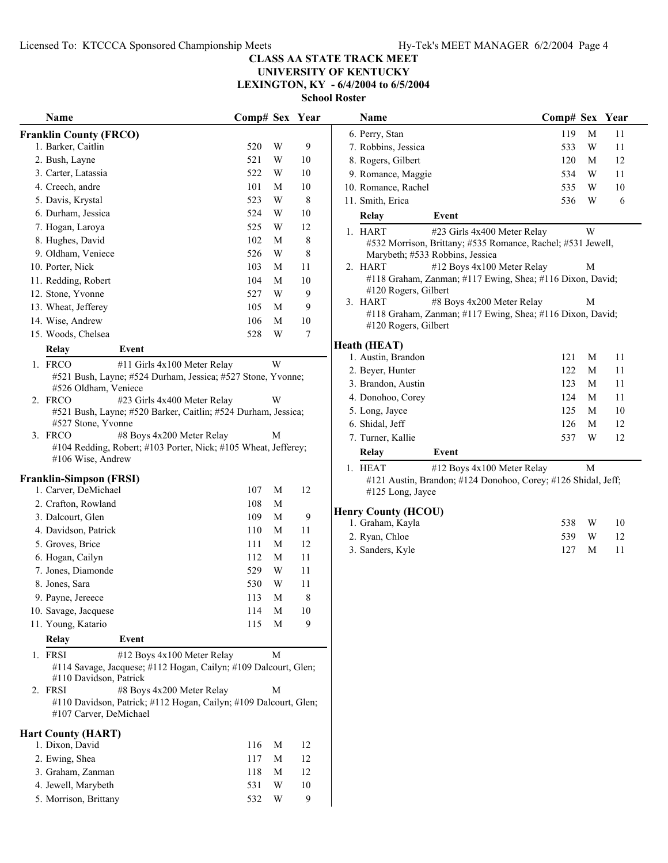#### **CLASS AA STATE TRACK MEET UNIVERSITY OF KENTUCKY**

**LEXINGTON, KY - 6/4/2004 to 6/5/2004**

**School Roster**

| Name                                                                                                     | Comp# Sex Year |             |             | Name                            | Comp# Sex Year                                                |   |    |
|----------------------------------------------------------------------------------------------------------|----------------|-------------|-------------|---------------------------------|---------------------------------------------------------------|---|----|
| <b>Franklin County (FRCO)</b>                                                                            |                |             |             | 6. Perry, Stan                  | 119                                                           | M | 11 |
| 1. Barker, Caitlin                                                                                       | 520            | W           | 9           | 7. Robbins, Jessica             | 533                                                           | W | 11 |
| 2. Bush, Layne                                                                                           | 521            | W           | $10\,$      | 8. Rogers, Gilbert              | 120                                                           | M | 12 |
| 3. Carter, Latassia                                                                                      | 522            | W           | $10\,$      | 9. Romance, Maggie              | 534                                                           | W | 11 |
| 4. Creech, andre                                                                                         | 101            | M           | $10\,$      | 10. Romance, Rachel             | 535                                                           | W | 10 |
| 5. Davis, Krystal                                                                                        | 523            | $\mathbf W$ | 8           | 11. Smith, Erica                | 536                                                           | W | 6  |
| 6. Durham, Jessica                                                                                       | 524            | $\mathbf W$ | 10          | Relay                           | Event                                                         |   |    |
| 7. Hogan, Laroya                                                                                         | 525            | W           | 12          | 1. HART                         | #23 Girls 4x400 Meter Relay                                   | W |    |
| 8. Hughes, David                                                                                         | 102            | M           | $\,$ 8 $\,$ |                                 | #532 Morrison, Brittany; #535 Romance, Rachel; #531 Jewell,   |   |    |
| 9. Oldham, Veniece                                                                                       | 526            | $\mathbf W$ | 8           | Marybeth; #533 Robbins, Jessica |                                                               |   |    |
| 10. Porter, Nick                                                                                         | 103            | M           | 11          | 2. HART                         | #12 Boys 4x100 Meter Relay                                    | М |    |
| 11. Redding, Robert                                                                                      | 104            | M           | 10          |                                 | #118 Graham, Zanman; #117 Ewing, Shea; #116 Dixon, David;     |   |    |
| 12. Stone, Yvonne                                                                                        | 527            | W           | 9           | #120 Rogers, Gilbert            |                                                               |   |    |
| 13. Wheat, Jefferey                                                                                      | 105            | M           | 9           | 3. HART                         | #8 Boys 4x200 Meter Relay                                     | М |    |
| 14. Wise, Andrew                                                                                         | 106            | M           | $10\,$      | #120 Rogers, Gilbert            | #118 Graham, Zanman; #117 Ewing, Shea; #116 Dixon, David;     |   |    |
| 15. Woods, Chelsea                                                                                       | 528            | W           | 7           |                                 |                                                               |   |    |
| Relay<br>Event                                                                                           |                |             |             | <b>Heath (HEAT)</b>             |                                                               |   |    |
| 1. FRCO<br>#11 Girls 4x100 Meter Relay                                                                   |                | W           |             | 1. Austin, Brandon              | 121                                                           | M | 11 |
| #521 Bush, Layne; #524 Durham, Jessica; #527 Stone, Yvonne;                                              |                |             |             | 2. Beyer, Hunter                | 122                                                           | M | 11 |
| #526 Oldham, Veniece                                                                                     |                |             |             | 3. Brandon, Austin              | 123                                                           | M | 11 |
| 2. FRCO<br>#23 Girls 4x400 Meter Relay                                                                   |                | W           |             | 4. Donohoo, Corey               | 124                                                           | M | 11 |
| #521 Bush, Layne; #520 Barker, Caitlin; #524 Durham, Jessica;                                            |                |             |             | 5. Long, Jayce                  | 125                                                           | M | 10 |
| #527 Stone, Yvonne<br>3. FRCO<br>#8 Boys 4x200 Meter Relay                                               |                | M           |             | 6. Shidal, Jeff                 | 126                                                           | M | 12 |
| #104 Redding, Robert; #103 Porter, Nick; #105 Wheat, Jefferey;                                           |                |             |             | 7. Turner, Kallie               | 537                                                           | W | 12 |
| #106 Wise, Andrew                                                                                        |                |             |             | <b>Relay</b>                    | Event                                                         |   |    |
|                                                                                                          |                |             |             | 1. HEAT                         | #12 Boys 4x100 Meter Relay                                    | M |    |
| <b>Franklin-Simpson (FRSI)</b>                                                                           |                |             |             |                                 | #121 Austin, Brandon; #124 Donohoo, Corey; #126 Shidal, Jeff; |   |    |
| 1. Carver, DeMichael                                                                                     | 107            | M           | 12          | #125 Long, Jayce                |                                                               |   |    |
| 2. Crafton, Rowland                                                                                      | 108            | M           |             | <b>Henry County (HCOU)</b>      |                                                               |   |    |
| 3. Dalcourt, Glen                                                                                        | 109            | M           | 9           | 1. Graham, Kayla                | 538                                                           | W | 10 |
| 4. Davidson, Patrick                                                                                     | 110            | M           | 11          | 2. Ryan, Chloe                  | 539                                                           | W | 12 |
| 5. Groves, Brice                                                                                         | 111            | $\mathbf M$ | 12          | 3. Sanders, Kyle                | 127                                                           | M | 11 |
| 6. Hogan, Cailyn<br>7. Jones, Diamonde                                                                   | 112<br>529     | M<br>W      | 11<br>11    |                                 |                                                               |   |    |
| 8. Jones, Sara                                                                                           | 530            | W           | 11          |                                 |                                                               |   |    |
| 9. Payne, Jereece                                                                                        | 113            | M           | 8           |                                 |                                                               |   |    |
| 10. Savage, Jacquese                                                                                     | 114            | M           | 10          |                                 |                                                               |   |    |
| 11. Young, Katario                                                                                       | 115            | M           | 9           |                                 |                                                               |   |    |
|                                                                                                          |                |             |             |                                 |                                                               |   |    |
| Relay<br>Event                                                                                           |                |             |             |                                 |                                                               |   |    |
| 1. FRSI<br>#12 Boys 4x100 Meter Relay<br>#114 Savage, Jacquese; #112 Hogan, Cailyn; #109 Dalcourt, Glen; |                | M           |             |                                 |                                                               |   |    |
| #110 Davidson, Patrick                                                                                   |                |             |             |                                 |                                                               |   |    |
| #8 Boys 4x200 Meter Relay<br>2. FRSI                                                                     |                | M           |             |                                 |                                                               |   |    |
| #110 Davidson, Patrick; #112 Hogan, Cailyn; #109 Dalcourt, Glen;                                         |                |             |             |                                 |                                                               |   |    |
| #107 Carver, DeMichael                                                                                   |                |             |             |                                 |                                                               |   |    |
| <b>Hart County (HART)</b>                                                                                |                |             |             |                                 |                                                               |   |    |
| 1. Dixon, David                                                                                          | 116            | M           | 12          |                                 |                                                               |   |    |
| 2. Ewing, Shea                                                                                           | 117            | M           | 12          |                                 |                                                               |   |    |
| 3. Graham, Zanman                                                                                        | 118            | M           | 12          |                                 |                                                               |   |    |
| 4. Jewell, Marybeth                                                                                      | 531            | W           | 10          |                                 |                                                               |   |    |
| 5. Morrison, Brittany                                                                                    | 532            | W           | 9           |                                 |                                                               |   |    |

| 6. Perry, Stan                  |                                                             | 119   | M | 11 |
|---------------------------------|-------------------------------------------------------------|-------|---|----|
| 7. Robbins, Jessica             |                                                             | 533   | W | 11 |
| 8. Rogers, Gilbert              |                                                             | 120   | M | 12 |
| 9. Romance, Maggie              |                                                             | 534   | W | 11 |
| 10. Romance, Rachel             |                                                             | 535 W |   | 10 |
| 11. Smith, Erica                |                                                             | 536   | W | 6  |
| Relay                           | Event                                                       |       |   |    |
| 1. HART                         | #23 Girls 4x400 Meter Relay                                 |       | W |    |
| Marybeth; #533 Robbins, Jessica | #532 Morrison, Brittany; #535 Romance, Rachel; #531 Jewell, |       |   |    |
| 2. HART                         | #12 Boys 4x100 Meter Relay                                  |       | М |    |
| #120 Rogers, Gilbert            | #118 Graham, Zanman; #117 Ewing, Shea; #116 Dixon, David;   |       |   |    |
| 3. HART                         | #8 Boys 4x200 Meter Relay                                   |       | M |    |
| #120 Rogers, Gilbert            | #118 Graham, Zanman; #117 Ewing, Shea; #116 Dixon, David;   |       |   |    |
| Heath (HEAT)                    |                                                             |       |   |    |
| 1. Austin, Brandon              |                                                             | 121   | M | 11 |
| 2. Beyer, Hunter                |                                                             | 122   | M | 11 |
| 3. Brandon, Austin              |                                                             | 123   | M | 11 |
| 4. Donohoo, Corey               |                                                             | 124   | M | 11 |
| 5. Long, Jayce                  |                                                             | 125   | M | 10 |
| 6. Shidal, Jeff                 |                                                             | 126   | M | 12 |
| 7. Turner, Kallie               |                                                             | 537   | W | 12 |
| Relay                           | Event                                                       |       |   |    |

### **HERRY (HCOU)**

| 1. Graham, Kayla | 538 W |          | 10  |
|------------------|-------|----------|-----|
| 2. Ryan, Chloe   |       | 539 W 12 |     |
| 3. Sanders, Kyle | 127 M |          | -11 |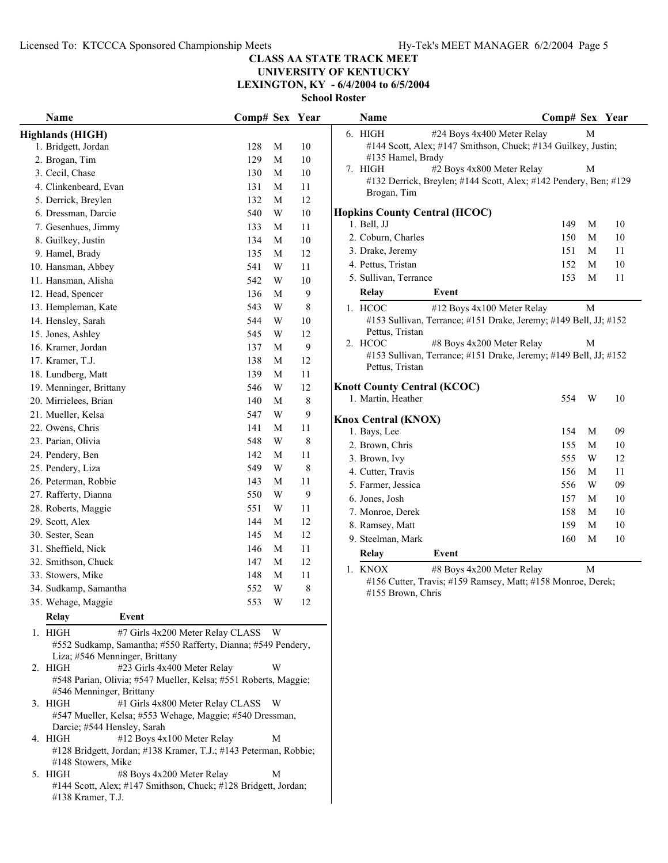# **UNIVERSITY OF KENTUCKY**

**LEXINGTON, KY - 6/4/2004 to 6/5/2004**

| Name                                                                 | Comp# Sex Year |                |                  | Name                                    | Comp# Sex Year                                                   |   |    |
|----------------------------------------------------------------------|----------------|----------------|------------------|-----------------------------------------|------------------------------------------------------------------|---|----|
| <b>Highlands (HIGH)</b>                                              |                |                |                  | 6. HIGH                                 | #24 Boys 4x400 Meter Relay                                       | M |    |
| 1. Bridgett, Jordan                                                  | 128            | M              | 10               |                                         | #144 Scott, Alex; #147 Smithson, Chuck; #134 Guilkey, Justin;    |   |    |
| 2. Brogan, Tim                                                       | 129            | M              | $10\,$           | #135 Hamel, Brady                       |                                                                  |   |    |
| 3. Cecil, Chase                                                      | 130            | M              | 10               | 7. HIGH                                 | #2 Boys 4x800 Meter Relay                                        | M |    |
| 4. Clinkenbeard, Evan                                                | 131            | M              | 11               |                                         | #132 Derrick, Breylen; #144 Scott, Alex; #142 Pendery, Ben; #129 |   |    |
| 5. Derrick, Breylen                                                  | 132            | M              | 12               | Brogan, Tim                             |                                                                  |   |    |
| 6. Dressman, Darcie                                                  | 540            | W              | $10\,$           | <b>Hopkins County Central (HCOC)</b>    |                                                                  |   |    |
| 7. Gesenhues, Jimmy                                                  | 133            | M              | 11               | 1. Bell, JJ                             | 149                                                              | M | 10 |
| 8. Guilkey, Justin                                                   | 134            | M              | $10\,$           | 2. Coburn, Charles                      | 150                                                              | M | 10 |
| 9. Hamel, Brady                                                      | 135            | M              | 12               | 3. Drake, Jeremy                        | 151                                                              | M | 11 |
| 10. Hansman, Abbey                                                   | 541            | W              | 11               | 4. Pettus, Tristan                      | 152                                                              | M | 10 |
| 11. Hansman, Alisha                                                  | 542            | W              | 10               | 5. Sullivan, Terrance                   | 153                                                              | M | 11 |
| 12. Head, Spencer                                                    | 136            | M              | 9                | <b>Relay</b>                            | Event                                                            |   |    |
| 13. Hempleman, Kate                                                  | 543            | W              | $\,8\,$          | 1. HCOC                                 | #12 Boys 4x100 Meter Relay                                       | M |    |
| 14. Hensley, Sarah                                                   | 544            | W              | 10               |                                         | #153 Sullivan, Terrance; #151 Drake, Jeremy; #149 Bell, JJ; #152 |   |    |
| 15. Jones, Ashley                                                    | 545            | W              | 12               | Pettus, Tristan                         |                                                                  |   |    |
| 16. Kramer, Jordan                                                   | 137            | M              | $\boldsymbol{9}$ | 2. HCOC                                 | #8 Boys 4x200 Meter Relay                                        | M |    |
| 17. Kramer, T.J.                                                     | 138            | M              | 12               |                                         | #153 Sullivan, Terrance; #151 Drake, Jeremy; #149 Bell, JJ; #152 |   |    |
| 18. Lundberg, Matt                                                   | 139            | M              | 11               | Pettus, Tristan                         |                                                                  |   |    |
| 19. Menninger, Brittany                                              | 546            | W              | 12               | <b>Knott County Central (KCOC)</b>      |                                                                  |   |    |
| 20. Mirrielees, Brian                                                | 140            | M              | 8                | 1. Martin, Heather                      | 554                                                              | W | 10 |
| 21. Mueller, Kelsa                                                   | 547            | W              | 9                |                                         |                                                                  |   |    |
| 22. Owens, Chris                                                     | 141            | M              | 11               | <b>Knox Central (KNOX)</b>              | 154                                                              | M | 09 |
| 23. Parian, Olivia                                                   | 548            | W              | $\,8\,$          | 1. Bays, Lee                            |                                                                  | M | 10 |
| 24. Pendery, Ben                                                     | 142            | M              | 11               | 2. Brown, Chris                         | 155                                                              | W | 12 |
| 25. Pendery, Liza                                                    | 549            | W              | 8                | 3. Brown, Ivy                           | 555<br>156                                                       | M | 11 |
| 26. Peterman, Robbie                                                 | 143            | M              | 11               | 4. Cutter, Travis<br>5. Farmer, Jessica | 556                                                              | W | 09 |
| 27. Rafferty, Dianna                                                 | 550            | W              | 9                |                                         | 157                                                              | M | 10 |
| 28. Roberts, Maggie                                                  | 551            | W              | 11               | 6. Jones, Josh                          |                                                                  | M | 10 |
| 29. Scott, Alex                                                      | 144            | M              | 12               | 7. Monroe, Derek                        | 158                                                              | M | 10 |
| 30. Sester, Sean                                                     | 145            | M              | 12               | 8. Ramsey, Matt                         | 159<br>160                                                       | M | 10 |
| 31. Sheffield, Nick                                                  | 146            | M              | 11               | 9. Steelman, Mark                       |                                                                  |   |    |
| 32. Smithson, Chuck                                                  | 147            | M              | 12               | Relay                                   | Event                                                            |   |    |
| 33. Stowers, Mike                                                    | 148            | M              | 11               | 1. KNOX                                 | #8 Boys 4x200 Meter Relay                                        | M |    |
| 34. Sudkamp, Samantha                                                | 552            | W              | $\,$ 8 $\,$      |                                         | #156 Cutter, Travis; #159 Ramsey, Matt; #158 Monroe, Derek;      |   |    |
| 35. Wehage, Maggie                                                   | 553            | W <sub>1</sub> | 12               | #155 Brown, Chris                       |                                                                  |   |    |
| Relay<br>Event                                                       |                |                |                  |                                         |                                                                  |   |    |
| $1.$ HIGH<br>#7 Girls 4x200 Meter Relay CLASS W                      |                |                |                  |                                         |                                                                  |   |    |
| #552 Sudkamp, Samantha; #550 Rafferty, Dianna; #549 Pendery,         |                |                |                  |                                         |                                                                  |   |    |
| Liza; #546 Menninger, Brittany                                       |                |                |                  |                                         |                                                                  |   |    |
| 2. HIGH<br>#23 Girls 4x400 Meter Relay                               |                | W              |                  |                                         |                                                                  |   |    |
| #548 Parian, Olivia; #547 Mueller, Kelsa; #551 Roberts, Maggie;      |                |                |                  |                                         |                                                                  |   |    |
| #546 Menninger, Brittany                                             |                |                |                  |                                         |                                                                  |   |    |
| #1 Girls 4x800 Meter Relay CLASS W<br>3. HIGH                        |                |                |                  |                                         |                                                                  |   |    |
| #547 Mueller, Kelsa; #553 Wehage, Maggie; #540 Dressman,             |                |                |                  |                                         |                                                                  |   |    |
| Darcie; #544 Hensley, Sarah<br>#12 Boys 4x100 Meter Relay<br>4. HIGH |                | M              |                  |                                         |                                                                  |   |    |
| #128 Bridgett, Jordan; #138 Kramer, T.J.; #143 Peterman, Robbie;     |                |                |                  |                                         |                                                                  |   |    |
| #148 Stowers, Mike                                                   |                |                |                  |                                         |                                                                  |   |    |
| #8 Boys 4x200 Meter Relay<br>5. HIGH                                 |                | M              |                  |                                         |                                                                  |   |    |
| #144 Scott, Alex; #147 Smithson, Chuck; #128 Bridgett, Jordan;       |                |                |                  |                                         |                                                                  |   |    |
| #138 Kramer, T.J.                                                    |                |                |                  |                                         |                                                                  |   |    |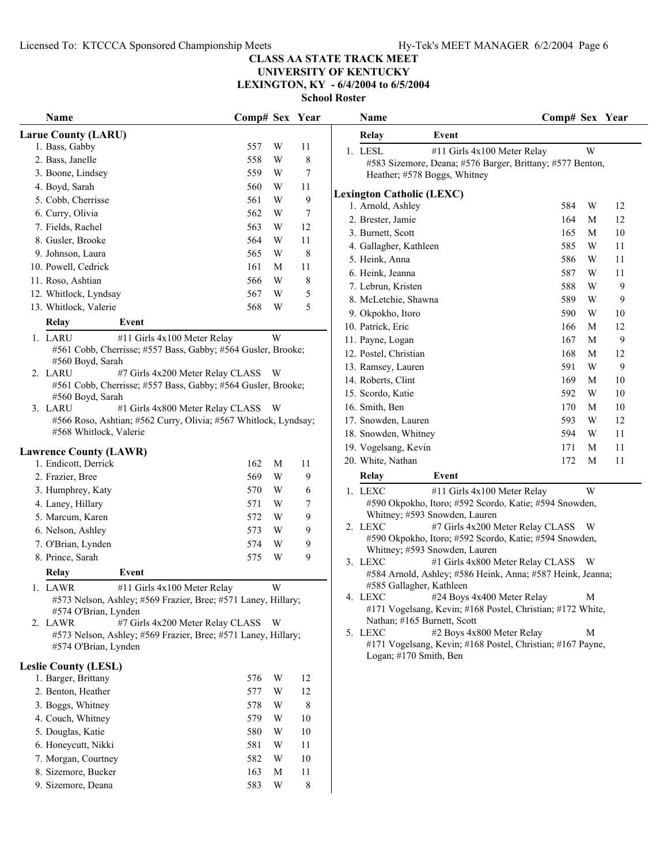**Name Comp# Sex** Year

#### **CLASS AA STATE TRACK MEET**

**UNIVERSITY OF KENTUCKY LEXINGTON, KY - 6/4/2004 to 6/5/2004**

|                                                                                                                                                                                                                                           |                |        | School Re |    |
|-------------------------------------------------------------------------------------------------------------------------------------------------------------------------------------------------------------------------------------------|----------------|--------|-----------|----|
| Name                                                                                                                                                                                                                                      | Comp# Sex Year |        |           |    |
| <b>Larue County (LARU)</b>                                                                                                                                                                                                                |                |        |           |    |
| 1. Bass, Gabby                                                                                                                                                                                                                            | 557            | W      | 11        |    |
| 2. Bass, Janelle                                                                                                                                                                                                                          | 558            | W      | 8         |    |
| 3. Boone, Lindsey                                                                                                                                                                                                                         | 559            | W      | 7         |    |
| 4. Boyd, Sarah                                                                                                                                                                                                                            | 560            | W      | 11        |    |
| 5. Cobb, Cherrisse                                                                                                                                                                                                                        | 561            | W      | 9         | Le |
| 6. Curry, Olivia                                                                                                                                                                                                                          | 562            | W      | 7         |    |
| 7. Fields, Rachel                                                                                                                                                                                                                         | 563            | W      | 12        |    |
| 8. Gusler, Brooke                                                                                                                                                                                                                         | 564            | W      | 11        |    |
| 9. Johnson, Laura                                                                                                                                                                                                                         | 565            | W      | 8         |    |
| 10. Powell, Cedrick                                                                                                                                                                                                                       | 161            | М      | 11        |    |
| 11. Roso, Ashtian                                                                                                                                                                                                                         | 566            | W      | 8         |    |
| 12. Whitlock, Lyndsay                                                                                                                                                                                                                     | 567            | W      | 5         |    |
| 13. Whitlock, Valerie                                                                                                                                                                                                                     | 568            | W      | 5         |    |
| Relay<br>Event                                                                                                                                                                                                                            |                |        |           |    |
|                                                                                                                                                                                                                                           |                |        |           |    |
| 1. LARU<br>#11 Girls 4x100 Meter Relay<br>#561 Cobb, Cherrisse; #557 Bass, Gabby; #564 Gusler, Brooke;<br>#560 Boyd, Sarah<br>2. LARU<br>#7 Girls 4x200 Meter Relay CLASS<br>#561 Cobb, Cherrisse; #557 Bass, Gabby; #564 Gusler, Brooke; |                | W<br>W |           |    |
| #560 Boyd, Sarah<br>3. LARU<br>#1 Girls 4x800 Meter Relay CLASS                                                                                                                                                                           |                | W      |           |    |
| #566 Roso, Ashtian; #562 Curry, Olivia; #567 Whitlock, Lyndsay;<br>#568 Whitlock, Valerie                                                                                                                                                 |                |        |           |    |
| <b>Lawrence County (LAWR)</b>                                                                                                                                                                                                             |                |        |           |    |
| 1. Endicott, Derrick                                                                                                                                                                                                                      | 162            | М      | 11        |    |
| 2. Frazier, Bree                                                                                                                                                                                                                          | 569            | W      | 9         |    |
| 3. Humphrey, Katy                                                                                                                                                                                                                         | 570            | W      | 6         |    |
| 4. Laney, Hillary                                                                                                                                                                                                                         | 571            | W      | 7         |    |
| 5. Marcum, Karen                                                                                                                                                                                                                          | 572            | W      | 9         |    |
| 6. Nelson, Ashley                                                                                                                                                                                                                         | 573            | W      | 9         |    |
| 7. O'Brian, Lynden                                                                                                                                                                                                                        | 574            | W      | 9         |    |
| 8. Prince, Sarah                                                                                                                                                                                                                          | 575            | W      | 9         |    |
| Relay<br>Event                                                                                                                                                                                                                            |                |        |           |    |
| 1. LAWR<br>#11 Girls 4x100 Meter Relay<br>#573 Nelson, Ashley; #569 Frazier, Bree; #571 Laney, Hillary;<br>#574 O'Brian, Lynden                                                                                                           |                | W      |           |    |
| #7 Girls 4x200 Meter Relay CLASS<br>2. LAWR<br>#573 Nelson, Ashley; #569 Frazier, Bree; #571 Laney, Hillary;<br>#574 O'Brian, Lynden                                                                                                      |                | W      |           |    |
| <b>Leslie County (LESL)</b>                                                                                                                                                                                                               |                |        |           |    |
| 1. Barger, Brittany                                                                                                                                                                                                                       | 576            | W      | 12        |    |
| 2. Benton, Heather                                                                                                                                                                                                                        | 577            | W      | 12        |    |
| 3. Boggs, Whitney                                                                                                                                                                                                                         | 578            | W      | 8         |    |
| 4. Couch, Whitney                                                                                                                                                                                                                         | 579            | W      | 10        |    |
| 5. Douglas, Katie                                                                                                                                                                                                                         | 580            | W      | 10        |    |
| 6. Honeycutt, Nikki                                                                                                                                                                                                                       | 581            | W      | 11        |    |
| 7. Morgan, Courtney                                                                                                                                                                                                                       | 582            | W      | 10        |    |
|                                                                                                                                                                                                                                           |                |        |           |    |
| 8. Sizemore, Bucker                                                                                                                                                                                                                       | 163            | М      | 11        |    |
| 9. Sizemore, Deana                                                                                                                                                                                                                        | 583            | W      | 8         |    |

| Relay                            | Event                                                     |     |   |    |  |
|----------------------------------|-----------------------------------------------------------|-----|---|----|--|
| 1. LESL                          | #11 Girls 4x100 Meter Relay                               |     | W |    |  |
|                                  | #583 Sizemore, Deana; #576 Barger, Brittany; #577 Benton, |     |   |    |  |
|                                  | Heather; #578 Boggs, Whitney                              |     |   |    |  |
| <b>Lexington Catholic (LEXC)</b> |                                                           |     |   |    |  |
| 1. Arnold, Ashley                |                                                           | 584 | W | 12 |  |
| 2. Brester, Jamie                |                                                           | 164 | M | 12 |  |
| 3. Burnett, Scott                |                                                           | 165 | M | 10 |  |
| 4. Gallagher, Kathleen           |                                                           | 585 | W | 11 |  |
| 5. Heink, Anna                   |                                                           | 586 | W | 11 |  |
| 6. Heink, Jeanna                 |                                                           | 587 | W | 11 |  |
| 7. Lebrun, Kristen               |                                                           | 588 | W | 9  |  |
| 8. McLetchie, Shawna             |                                                           | 589 | W | 9  |  |
| 9. Okpokho, Itoro                |                                                           | 590 | W | 10 |  |
| 10. Patrick, Eric                |                                                           | 166 | M | 12 |  |
| 11. Payne, Logan                 |                                                           | 167 | M | 9  |  |
| 12. Postel, Christian            |                                                           | 168 | M | 12 |  |
| 13. Ramsey, Lauren               |                                                           | 591 | W | 9  |  |
| 14. Roberts, Clint               |                                                           | 169 | M | 10 |  |
| 15. Scordo, Katie                |                                                           | 592 | W | 10 |  |
| 16. Smith, Ben                   |                                                           | 170 | M | 10 |  |
| 17. Snowden, Lauren              |                                                           | 593 | W | 12 |  |
| 18. Snowden, Whitney             |                                                           | 594 | W | 11 |  |
| 19. Vogelsang, Kevin             |                                                           | 171 | M | 11 |  |
| 20. White, Nathan                |                                                           | 172 | M | 11 |  |
| Relay                            | Event                                                     |     |   |    |  |
|                                  |                                                           |     |   |    |  |

- 1. LEXC #11 Girls 4x100 Meter Relay W #590 Okpokho, Itoro; #592 Scordo, Katie; #594 Snowden, Whitney; #593 Snowden, Lauren
- 2. LEXC #7 Girls 4x200 Meter Relay CLASS W #590 Okpokho, Itoro; #592 Scordo, Katie; #594 Snowden, Whitney; #593 Snowden, Lauren
- 3. LEXC #1 Girls 4x800 Meter Relay CLASS W #584 Arnold, Ashley; #586 Heink, Anna; #587 Heink, Jeanna; #585 Gallagher, Kathleen
- 4. LEXC #24 Boys 4x400 Meter Relay M #171 Vogelsang, Kevin; #168 Postel, Christian; #172 White, Nathan; #165 Burnett, Scott
- 5. LEXC #2 Boys 4x800 Meter Relay M #171 Vogelsang, Kevin; #168 Postel, Christian; #167 Payne, Logan; #170 Smith, Ben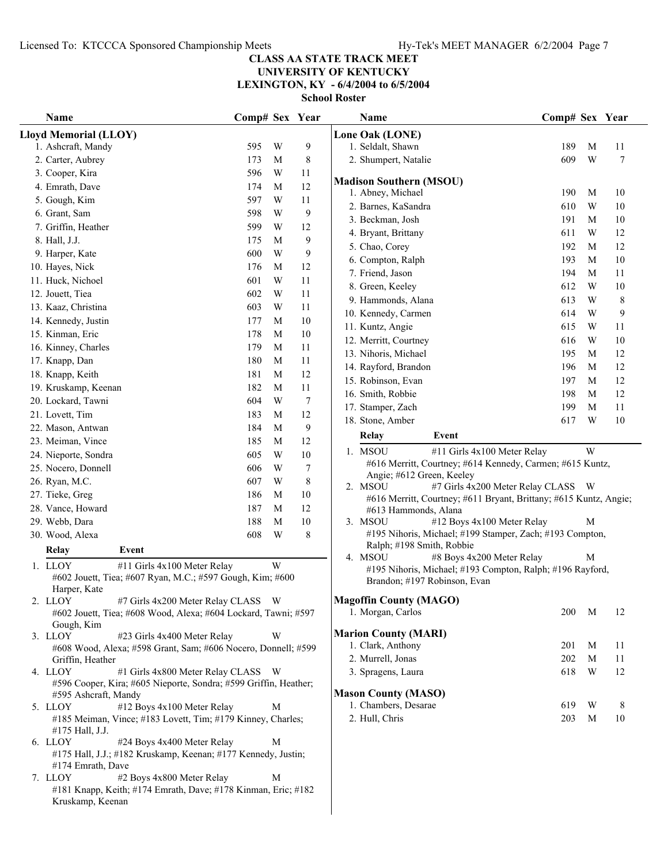## **UNIVERSITY OF KENTUCKY**

**LEXINGTON, KY - 6/4/2004 to 6/5/2004**

| Name                                                                                                | Comp# Sex Year |   |        | Name                                                                                                               | Comp# Sex Year |   |          |
|-----------------------------------------------------------------------------------------------------|----------------|---|--------|--------------------------------------------------------------------------------------------------------------------|----------------|---|----------|
| Lloyd Memorial (LLOY)                                                                               |                |   |        | Lone Oak (LONE)                                                                                                    |                |   |          |
| 1. Ashcraft, Mandy                                                                                  | 595            | W | 9      | 1. Seldalt, Shawn                                                                                                  | 189            | M | 11       |
| 2. Carter, Aubrey                                                                                   | 173            | M | 8      | 2. Shumpert, Natalie                                                                                               | 609            | W | 7        |
| 3. Cooper, Kira                                                                                     | 596            | W | 11     |                                                                                                                    |                |   |          |
| 4. Emrath, Dave                                                                                     | 174            | M | 12     | <b>Madison Southern (MSOU)</b><br>1. Abney, Michael                                                                | 190            | M | 10       |
| 5. Gough, Kim                                                                                       | 597            | W | 11     | 2. Barnes, KaSandra                                                                                                | 610            | W | 10       |
| 6. Grant, Sam                                                                                       | 598            | W | 9      |                                                                                                                    | 191            | M |          |
| 7. Griffin, Heather                                                                                 | 599            | W | 12     | 3. Beckman, Josh<br>4. Bryant, Brittany                                                                            | 611            | W | 10<br>12 |
| 8. Hall, J.J.                                                                                       | 175            | M | 9      | 5. Chao, Corey                                                                                                     | 192            | M | 12       |
| 9. Harper, Kate                                                                                     | 600            | W | 9      | 6. Compton, Ralph                                                                                                  | 193            | M | $10\,$   |
| 10. Hayes, Nick                                                                                     | 176            | M | 12     | 7. Friend, Jason                                                                                                   | 194            | M |          |
| 11. Huck, Nichoel                                                                                   | 601            | W | 11     |                                                                                                                    | 612            | W | 11       |
| 12. Jouett, Tiea                                                                                    | 602            | W | 11     | 8. Green, Keeley                                                                                                   | 613            | W | 10       |
| 13. Kaaz, Christina                                                                                 | 603            | W | 11     | 9. Hammonds, Alana                                                                                                 |                |   | 8        |
| 14. Kennedy, Justin                                                                                 | 177            | M | $10\,$ | 10. Kennedy, Carmen                                                                                                | 614            | W | 9        |
| 15. Kinman, Eric                                                                                    | 178            | M | $10\,$ | 11. Kuntz, Angie                                                                                                   | 615            | W | 11       |
| 16. Kinney, Charles                                                                                 | 179            | M | 11     | 12. Merritt, Courtney                                                                                              | 616            | W | $10\,$   |
| 17. Knapp, Dan                                                                                      | 180            | M | 11     | 13. Nihoris, Michael                                                                                               | 195            | M | 12       |
| 18. Knapp, Keith                                                                                    | 181            | M | 12     | 14. Rayford, Brandon                                                                                               | 196            | M | 12       |
| 19. Kruskamp, Keenan                                                                                | 182            | M | 11     | 15. Robinson, Evan                                                                                                 | 197            | M | 12       |
| 20. Lockard, Tawni                                                                                  | 604            | W | 7      | 16. Smith, Robbie                                                                                                  | 198            | M | 12       |
| 21. Lovett, Tim                                                                                     | 183            | M | 12     | 17. Stamper, Zach                                                                                                  | 199            | M | 11       |
| 22. Mason, Antwan                                                                                   | 184            | M | 9      | 18. Stone, Amber                                                                                                   | 617            | W | $10\,$   |
| 23. Meiman, Vince                                                                                   | 185            | M | 12     | Relay<br>Event                                                                                                     |                |   |          |
| 24. Nieporte, Sondra                                                                                | 605            | W | 10     | 1. MSOU<br>#11 Girls 4x100 Meter Relay                                                                             |                | W |          |
| 25. Nocero, Donnell                                                                                 | 606            | W | 7      | #616 Merritt, Courtney; #614 Kennedy, Carmen; #615 Kuntz,                                                          |                |   |          |
| 26. Ryan, M.C.                                                                                      | 607            | W | 8      | Angie; #612 Green, Keeley                                                                                          |                |   |          |
| 27. Tieke, Greg                                                                                     | 186            | M | $10\,$ | 2. MSOU<br>#7 Girls 4x200 Meter Relay CLASS W<br>#616 Merritt, Courtney; #611 Bryant, Brittany; #615 Kuntz, Angie; |                |   |          |
| 28. Vance, Howard                                                                                   | 187            | M | 12     | #613 Hammonds, Alana                                                                                               |                |   |          |
| 29. Webb, Dara                                                                                      | 188            | M | $10\,$ | 3. MSOU<br>#12 Boys 4x100 Meter Relay                                                                              |                | M |          |
| 30. Wood, Alexa                                                                                     | 608            | W | 8      | #195 Nihoris, Michael; #199 Stamper, Zach; #193 Compton,                                                           |                |   |          |
| <b>Relay</b><br>Event                                                                               |                |   |        | Ralph; #198 Smith, Robbie                                                                                          |                |   |          |
|                                                                                                     |                | W |        | 4. MSOU<br>#8 Boys 4x200 Meter Relay                                                                               |                | M |          |
| 1. LLOY<br>#11 Girls 4x100 Meter Relay<br>#602 Jouett, Tiea; #607 Ryan, M.C.; #597 Gough, Kim; #600 |                |   |        | #195 Nihoris, Michael; #193 Compton, Ralph; #196 Rayford,<br>Brandon; #197 Robinson, Evan                          |                |   |          |
| Harper, Kate                                                                                        |                |   |        |                                                                                                                    |                |   |          |
| 2. LLOY<br>#7 Girls 4x200 Meter Relay CLASS W                                                       |                |   |        | <b>Magoffin County (MAGO)</b>                                                                                      |                |   |          |
| #602 Jouett, Tiea; #608 Wood, Alexa; #604 Lockard, Tawni; #597                                      |                |   |        | 1. Morgan, Carlos                                                                                                  | 200            | M | 12       |
| Gough, Kim<br>3. LLOY<br>#23 Girls 4x400 Meter Relay                                                |                | W |        | <b>Marion County (MARI)</b>                                                                                        |                |   |          |
| #608 Wood, Alexa; #598 Grant, Sam; #606 Nocero, Donnell; #599                                       |                |   |        | 1. Clark, Anthony                                                                                                  | 201            | M | 11       |
| Griffin, Heather                                                                                    |                |   |        | 2. Murrell, Jonas                                                                                                  | 202            | M | 11       |
| #1 Girls 4x800 Meter Relay CLASS W<br>4. LLOY                                                       |                |   |        | 3. Spragens, Laura                                                                                                 | 618            | W | 12       |
| #596 Cooper, Kira; #605 Nieporte, Sondra; #599 Griffin, Heather;                                    |                |   |        |                                                                                                                    |                |   |          |
| #595 Ashcraft, Mandy                                                                                |                |   |        | <b>Mason County (MASO)</b>                                                                                         |                |   |          |
| #12 Boys 4x100 Meter Relay<br>5. LLOY                                                               |                | M |        | 1. Chambers, Desarae                                                                                               | 619            | W | 8        |
| #185 Meiman, Vince; #183 Lovett, Tim; #179 Kinney, Charles;                                         |                |   |        | 2. Hull, Chris                                                                                                     | 203            | M | 10       |
| #175 Hall, J.J.<br>6. LLOY<br>#24 Boys 4x400 Meter Relay                                            |                | M |        |                                                                                                                    |                |   |          |
| #175 Hall, J.J.; #182 Kruskamp, Keenan; #177 Kennedy, Justin;                                       |                |   |        |                                                                                                                    |                |   |          |
| #174 Emrath, Dave                                                                                   |                |   |        |                                                                                                                    |                |   |          |
| #2 Boys 4x800 Meter Relay<br>7. LLOY                                                                |                | M |        |                                                                                                                    |                |   |          |
| #181 Knapp, Keith; #174 Emrath, Dave; #178 Kinman, Eric; #182                                       |                |   |        |                                                                                                                    |                |   |          |
| Kruskamp, Keenan                                                                                    |                |   |        |                                                                                                                    |                |   |          |
|                                                                                                     |                |   |        |                                                                                                                    |                |   |          |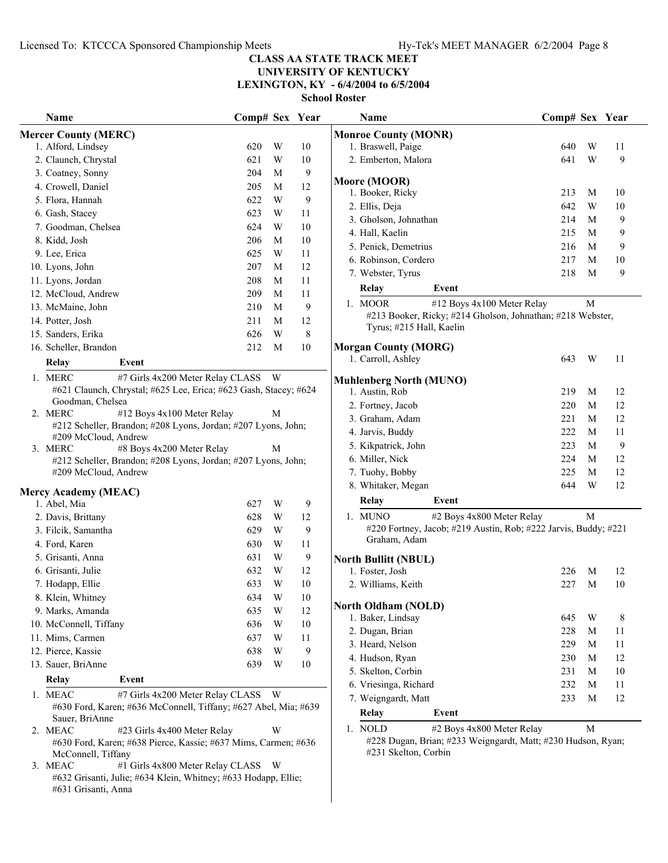## **UNIVERSITY OF KENTUCKY**

**LEXINGTON, KY - 6/4/2004 to 6/5/2004**

**School Roster**

| Name                                                                                  | Comp# Sex Year |   |             | Name                                                            | Comp# Sex Year |   |         |
|---------------------------------------------------------------------------------------|----------------|---|-------------|-----------------------------------------------------------------|----------------|---|---------|
| <b>Mercer County (MERC)</b>                                                           |                |   |             | <b>Monroe County (MONR)</b>                                     |                |   |         |
| 1. Alford, Lindsey                                                                    | 620            | W | 10          | 1. Braswell, Paige                                              | 640            | W | 11      |
| 2. Claunch, Chrystal                                                                  | 621            | W | 10          | 2. Emberton, Malora                                             | 641            | W | 9       |
| 3. Coatney, Sonny                                                                     | 204            | M | 9           |                                                                 |                |   |         |
| 4. Crowell, Daniel                                                                    | 205            | M | 12          | Moore (MOOR)                                                    |                |   |         |
| 5. Flora, Hannah                                                                      | 622            | W | 9           | 1. Booker, Ricky                                                | 213            | M | 10      |
| 6. Gash, Stacey                                                                       | 623            | W | 11          | 2. Ellis, Deja                                                  | 642            | W | 10      |
| 7. Goodman, Chelsea                                                                   | 624            | W | 10          | 3. Gholson, Johnathan                                           | 214            | M | 9       |
| 8. Kidd, Josh                                                                         | 206            | M | 10          | 4. Hall, Kaelin                                                 | 215            | М | 9       |
| 9. Lee, Erica                                                                         | 625            | W | 11          | 5. Penick, Demetrius                                            | 216            | M | 9       |
| 10. Lyons, John                                                                       | 207            | M | 12          | 6. Robinson, Cordero                                            | 217            | M | 10      |
| 11. Lyons, Jordan                                                                     | 208            | M | 11          | 7. Webster, Tyrus                                               | 218            | M | 9       |
| 12. McCloud, Andrew                                                                   | 209            | M | 11          | Relay<br>Event                                                  |                |   |         |
| 13. McMaine, John                                                                     | 210            | M | 9           | 1. MOOR<br>#12 Boys 4x100 Meter Relay                           |                | M |         |
| 14. Potter, Josh                                                                      | 211            | M | 12          | #213 Booker, Ricky; #214 Gholson, Johnathan; #218 Webster,      |                |   |         |
| 15. Sanders, Erika                                                                    | 626            | W | $\,$ 8 $\,$ | Tyrus; #215 Hall, Kaelin                                        |                |   |         |
| 16. Scheller, Brandon                                                                 | 212            | M | 10          | <b>Morgan County (MORG)</b>                                     |                |   |         |
| Relay<br>Event                                                                        |                |   |             | 1. Carroll, Ashley                                              | 643            | W | 11      |
| 1. MERC<br>#7 Girls 4x200 Meter Relay CLASS W                                         |                |   |             |                                                                 |                |   |         |
| #621 Claunch, Chrystal; #625 Lee, Erica; #623 Gash, Stacey; #624                      |                |   |             | <b>Muhlenberg North (MUNO)</b><br>1. Austin, Rob                | 219            | M | 12      |
| Goodman, Chelsea                                                                      |                |   |             | 2. Fortney, Jacob                                               | 220            | M | 12      |
| #12 Boys 4x100 Meter Relay<br>2. MERC                                                 |                | M |             | 3. Graham, Adam                                                 | 221            | M | 12      |
| #212 Scheller, Brandon; #208 Lyons, Jordan; #207 Lyons, John;                         |                |   |             | 4. Jarvis, Buddy                                                | 222            | M | 11      |
| #209 McCloud, Andrew                                                                  |                |   |             | 5. Kikpatrick, John                                             | 223            | M | 9       |
| 3. MERC<br>#8 Boys 4x200 Meter Relay                                                  |                | M |             | 6. Miller, Nick                                                 | 224            | M | 12      |
| #212 Scheller, Brandon; #208 Lyons, Jordan; #207 Lyons, John;<br>#209 McCloud, Andrew |                |   |             | 7. Tuohy, Bobby                                                 | 225            | M | 12      |
|                                                                                       |                |   |             | 8. Whitaker, Megan                                              | 644            | W | 12      |
| <b>Mercy Academy (MEAC)</b>                                                           |                |   |             |                                                                 |                |   |         |
| 1. Abel, Mia                                                                          | 627            | W | 9           | Relay<br>Event                                                  |                |   |         |
| 2. Davis, Brittany                                                                    | 628            | W | 12          | 1. MUNO<br>#2 Boys 4x800 Meter Relay                            |                | M |         |
| 3. Filcik, Samantha                                                                   | 629            | W | 9           | #220 Fortney, Jacob; #219 Austin, Rob; #222 Jarvis, Buddy; #221 |                |   |         |
| 4. Ford, Karen                                                                        | 630            | W | 11          | Graham, Adam                                                    |                |   |         |
| 5. Grisanti, Anna                                                                     | 631            | W | 9           | <b>North Bullitt (NBUL)</b>                                     |                |   |         |
| 6. Grisanti, Julie                                                                    | 632            | W | 12          | 1. Foster, Josh                                                 | 226            | M | 12      |
| 7. Hodapp, Ellie                                                                      | 633            | W | 10          | 2. Williams, Keith                                              | 227            | M | 10      |
| 8. Klein, Whitney                                                                     | 634            | W | 10          |                                                                 |                |   |         |
| 9. Marks, Amanda                                                                      | 635            | W | 12          | <b>North Oldham (NOLD)</b><br>1. Baker, Lindsay                 | 645            | W |         |
| 10. McConnell, Tiffany                                                                | 636            | W | 10          | 2. Dugan, Brian                                                 | 228            | M | 8<br>11 |
| 11. Mims, Carmen                                                                      | 637            | W | 11          |                                                                 |                |   |         |
| 12. Pierce, Kassie                                                                    | 638            | W | 9           | 3. Heard, Nelson                                                | 229            | M | 11      |
| 13. Sauer, BriAnne                                                                    | 639            | W | 10          | 4. Hudson, Ryan                                                 | 230            | M | 12      |
| <b>Relay</b><br>Event                                                                 |                |   |             | 5. Skelton, Corbin                                              | 231            | М | 10      |
| #7 Girls 4x200 Meter Relay CLASS W<br>1. MEAC                                         |                |   |             | 6. Vriesinga, Richard                                           | 232            | M | 11      |
| #630 Ford, Karen; #636 McConnell, Tiffany; #627 Abel, Mia; #639                       |                |   |             | 7. Weigngardt, Matt                                             | 233            | M | 12      |
| Sauer, BriAnne                                                                        |                |   |             | Relay<br>Event                                                  |                |   |         |
| 2. MEAC<br>#23 Girls 4x400 Meter Relay                                                |                | W |             | 1. NOLD<br>#2 Boys 4x800 Meter Relay                            |                | M |         |
| #630 Ford, Karen; #638 Pierce, Kassie; #637 Mims, Carmen; #636                        |                |   |             | #228 Dugan, Brian; #233 Weigngardt, Matt; #230 Hudson, Ryan;    |                |   |         |
| McConnell, Tiffany                                                                    |                |   |             | #231 Skelton, Corbin                                            |                |   |         |

3. MEAC #1 Girls 4x800 Meter Relay CLASS W #632 Grisanti, Julie; #634 Klein, Whitney; #633 Hodapp, Ellie; #631 Grisanti, Anna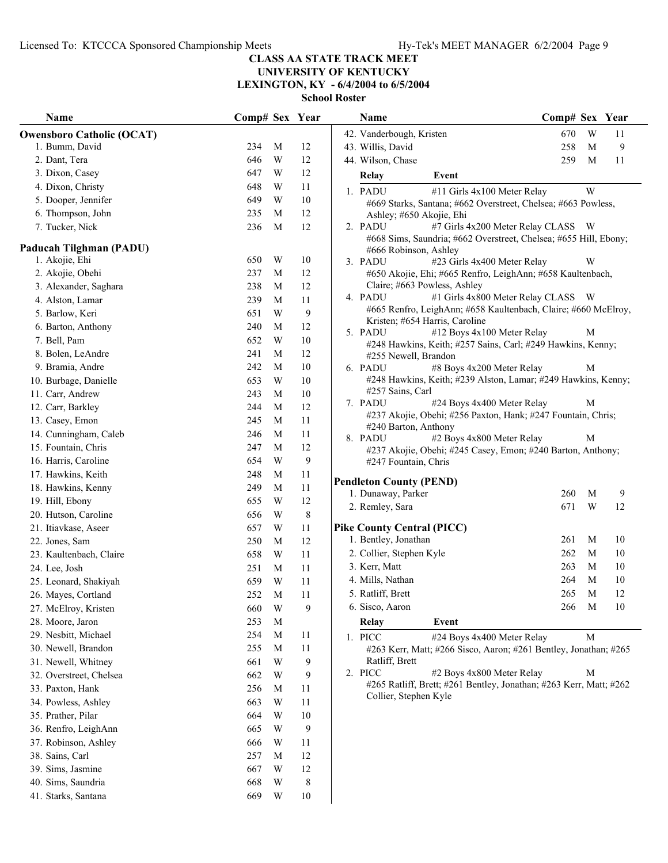**UNIVERSITY OF KENTUCKY**

**LEXINGTON, KY - 6/4/2004 to 6/5/2004**

| Name                                      | Comp# Sex Year |   |                  | Comp# Sex Year<br>Name                                                                                |        |          |
|-------------------------------------------|----------------|---|------------------|-------------------------------------------------------------------------------------------------------|--------|----------|
| <b>Owensboro Catholic (OCAT)</b>          |                |   |                  | 42. Vanderbough, Kristen<br>670                                                                       | W      | 11       |
| 1. Bumm, David                            | 234            | M | 12               | 258<br>43. Willis, David                                                                              | M      | 9        |
| 2. Dant, Tera                             | 646            | W | 12               | 44. Wilson, Chase<br>259                                                                              | M      | 11       |
| 3. Dixon, Casey                           | 647            | W | 12               | Relay<br>Event                                                                                        |        |          |
| 4. Dixon, Christy                         | 648            | W | 11               | 1. PADU<br>#11 Girls 4x100 Meter Relay                                                                | W      |          |
| 5. Dooper, Jennifer                       | 649            | W | 10               | #669 Starks, Santana; #662 Overstreet, Chelsea; #663 Powless,                                         |        |          |
| 6. Thompson, John                         | 235            | M | 12               | Ashley; #650 Akojie, Ehi                                                                              |        |          |
| 7. Tucker, Nick                           | 236            | M | 12               | #7 Girls 4x200 Meter Relay CLASS W<br>2. PADU                                                         |        |          |
|                                           |                |   |                  | #668 Sims, Saundria; #662 Overstreet, Chelsea; #655 Hill, Ebony;                                      |        |          |
| Paducah Tilghman (PADU)<br>1. Akojie, Ehi | 650            | W | 10               | #666 Robinson, Ashley                                                                                 |        |          |
| 2. Akojie, Obehi                          | 237            | M | 12               | 3. PADU<br>#23 Girls 4x400 Meter Relay                                                                | W      |          |
|                                           |                |   |                  | #650 Akojie, Ehi; #665 Renfro, LeighAnn; #658 Kaultenbach,<br>Claire; #663 Powless, Ashley            |        |          |
| 3. Alexander, Saghara                     | 238            | M | 12               | #1 Girls 4x800 Meter Relay CLASS W<br>4. PADU                                                         |        |          |
| 4. Alston, Lamar                          | 239            | M | 11               | #665 Renfro, LeighAnn; #658 Kaultenbach, Claire; #660 McElroy,                                        |        |          |
| 5. Barlow, Keri                           | 651            | W | $\boldsymbol{9}$ | Kristen; #654 Harris, Caroline                                                                        |        |          |
| 6. Barton, Anthony                        | 240            | M | 12               | #12 Boys 4x100 Meter Relay<br>5. PADU                                                                 | М      |          |
| 7. Bell, Pam                              | 652            | W | 10               | #248 Hawkins, Keith; #257 Sains, Carl; #249 Hawkins, Kenny;                                           |        |          |
| 8. Bolen, LeAndre                         | 241            | M | 12               | #255 Newell, Brandon                                                                                  |        |          |
| 9. Bramia, Andre                          | 242            | M | 10               | #8 Boys 4x200 Meter Relay<br>6. PADU<br>#248 Hawkins, Keith; #239 Alston, Lamar; #249 Hawkins, Kenny; | M      |          |
| 10. Burbage, Danielle                     | 653            | W | 10               | #257 Sains, Carl                                                                                      |        |          |
| 11. Carr, Andrew                          | 243            | M | 10               | 7. PADU<br>#24 Boys 4x400 Meter Relay                                                                 | M      |          |
| 12. Carr, Barkley                         | 244            | M | 12               | #237 Akojie, Obehi; #256 Paxton, Hank; #247 Fountain, Chris;                                          |        |          |
| 13. Casey, Emon                           | 245            | M | 11               | #240 Barton, Anthony                                                                                  |        |          |
| 14. Cunningham, Caleb                     | 246            | M | 11               | 8. PADU<br>#2 Boys 4x800 Meter Relay                                                                  | М      |          |
| 15. Fountain, Chris                       | 247            | M | 12               | #237 Akojie, Obehi; #245 Casey, Emon; #240 Barton, Anthony;                                           |        |          |
| 16. Harris, Caroline                      | 654            | W | 9                | #247 Fountain, Chris                                                                                  |        |          |
| 17. Hawkins, Keith                        | 248            | M | 11               | <b>Pendleton County (PEND)</b>                                                                        |        |          |
| 18. Hawkins, Kenny                        | 249            | M | 11               | 1. Dunaway, Parker<br>260                                                                             | M      | 9        |
| 19. Hill, Ebony                           | 655            | W | 12               | 2. Remley, Sara<br>671                                                                                | W      | 12       |
| 20. Hutson, Caroline                      | 656            | W | $8\,$            |                                                                                                       |        |          |
| 21. Itiavkase, Aseer                      | 657            | W | 11               | <b>Pike County Central (PICC)</b><br>1. Bentley, Jonathan<br>261                                      | M      | 10       |
| 22. Jones, Sam                            | 250            | M | 12               | 262                                                                                                   | M      | 10       |
| 23. Kaultenbach, Claire                   | 658            | W | 11               | 2. Collier, Stephen Kyle                                                                              | M      |          |
| 24. Lee, Josh                             | 251            | M | 11               | 3. Kerr, Matt<br>263                                                                                  | M      | 10       |
| 25. Leonard, Shakiyah                     | 659            | W | $11\,$           | 4. Mills, Nathan<br>264                                                                               |        | 10       |
| 26. Mayes, Cortland                       | 252            | M | 11               | 5. Ratliff, Brett<br>265<br>266                                                                       | M<br>M | 12<br>10 |
| 27. McElroy, Kristen                      | 660            | W | 9                | 6. Sisco, Aaron                                                                                       |        |          |
| 28. Moore, Jaron                          | 253            | M |                  | Relay<br>Event                                                                                        |        |          |
| 29. Nesbitt, Michael                      | 254            | M | 11               | 1. PICC<br>#24 Boys 4x400 Meter Relay                                                                 | M      |          |
| 30. Newell, Brandon                       | 255            | M | 11               | #263 Kerr, Matt; #266 Sisco, Aaron; #261 Bentley, Jonathan; #265<br>Ratliff, Brett                    |        |          |
| 31. Newell, Whitney                       | 661            | W | 9                | 2. PICC<br>#2 Boys 4x800 Meter Relay                                                                  | M      |          |
| 32. Overstreet, Chelsea                   | 662            | W | 9                | #265 Ratliff, Brett; #261 Bentley, Jonathan; #263 Kerr, Matt; #262                                    |        |          |
| 33. Paxton, Hank                          | 256            | M | 11               | Collier, Stephen Kyle                                                                                 |        |          |
| 34. Powless, Ashley                       | 663            | W | 11               |                                                                                                       |        |          |
| 35. Prather, Pilar                        | 664            | W | 10               |                                                                                                       |        |          |
| 36. Renfro, LeighAnn                      | 665            | W | 9                |                                                                                                       |        |          |
| 37. Robinson, Ashley                      | 666            | W | 11               |                                                                                                       |        |          |
| 38. Sains, Carl                           | 257            | M | 12               |                                                                                                       |        |          |
| 39. Sims, Jasmine                         | 667            | W | 12               |                                                                                                       |        |          |
| 40. Sims, Saundria                        | 668            | W | $\,$ 8 $\,$      |                                                                                                       |        |          |
| 41. Starks, Santana                       | 669            | W | 10               |                                                                                                       |        |          |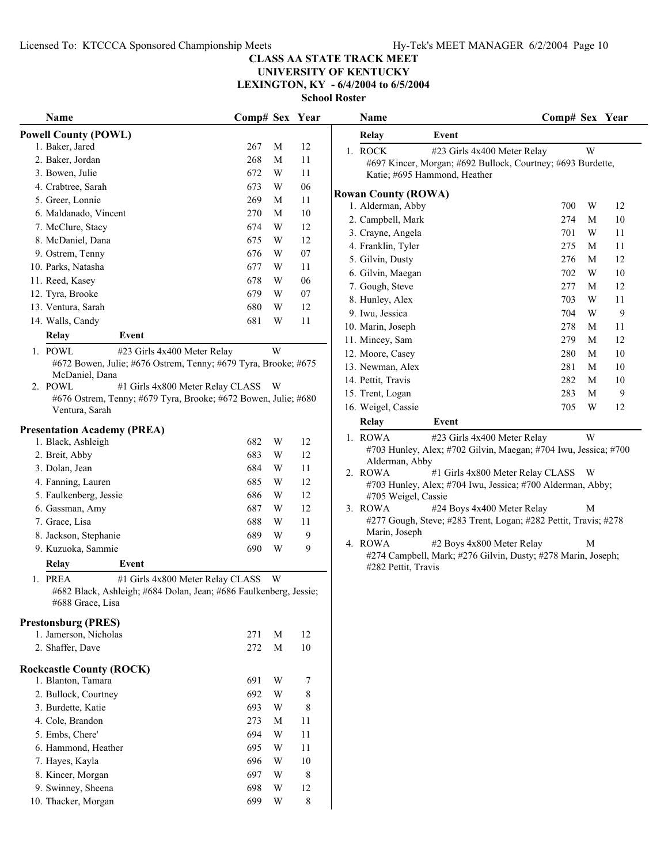**UNIVERSITY OF KENTUCKY LEXINGTON, KY - 6/4/2004 to 6/5/2004**

**School Roster**

|                                                                                       |                |   |    | ƏCIIOOI INOStei            |                                                                                                  |   |        |
|---------------------------------------------------------------------------------------|----------------|---|----|----------------------------|--------------------------------------------------------------------------------------------------|---|--------|
| Name                                                                                  | Comp# Sex Year |   |    | Name                       | Comp# Sex Year                                                                                   |   |        |
| <b>Powell County (POWL)</b>                                                           |                |   |    | Relay                      | Event                                                                                            |   |        |
| 1. Baker, Jared                                                                       | 267            | M | 12 | 1. ROCK                    | #23 Girls 4x400 Meter Relay                                                                      | W |        |
| 2. Baker, Jordan                                                                      | 268            | M | 11 |                            | #697 Kincer, Morgan; #692 Bullock, Courtney; #693 Burdette,                                      |   |        |
| 3. Bowen, Julie                                                                       | 672            | W | 11 |                            | Katie; #695 Hammond, Heather                                                                     |   |        |
| 4. Crabtree, Sarah                                                                    | 673            | W | 06 | <b>Rowan County (ROWA)</b> |                                                                                                  |   |        |
| 5. Greer, Lonnie                                                                      | 269            | M | 11 | 1. Alderman, Abby          | 700                                                                                              | W | 12     |
| 6. Maldanado, Vincent                                                                 | 270            | M | 10 | 2. Campbell, Mark          | 274                                                                                              | M | $10\,$ |
| 7. McClure, Stacy                                                                     | 674            | W | 12 | 3. Crayne, Angela          | 701                                                                                              | W | 11     |
| 8. McDaniel, Dana                                                                     | 675            | W | 12 | 4. Franklin, Tyler         | 275                                                                                              | M | 11     |
| 9. Ostrem, Tenny                                                                      | 676            | W | 07 | 5. Gilvin, Dusty           | 276                                                                                              | M | 12     |
| 10. Parks, Natasha                                                                    | 677            | W | 11 | 6. Gilvin, Maegan          | 702                                                                                              | W | 10     |
| 11. Reed, Kasey                                                                       | 678            | W | 06 | 7. Gough, Steve            | 277                                                                                              | M | 12     |
| 12. Tyra, Brooke                                                                      | 679            | W | 07 | 8. Hunley, Alex            | 703                                                                                              | W | 11     |
| 13. Ventura, Sarah                                                                    | 680            | W | 12 | 9. Iwu, Jessica            | 704                                                                                              | W | 9      |
| 14. Walls, Candy                                                                      | 681            | W | 11 | 10. Marin, Joseph          | 278                                                                                              | M | 11     |
| Relay<br>Event                                                                        |                |   |    | 11. Mincey, Sam            | 279                                                                                              | M | 12     |
| 1. POWL<br>#23 Girls 4x400 Meter Relay                                                |                | W |    | 12. Moore, Casey           | 280                                                                                              | M | $10\,$ |
| #672 Bowen, Julie; #676 Ostrem, Tenny; #679 Tyra, Brooke; #675                        |                |   |    | 13. Newman, Alex           | 281                                                                                              | M | 10     |
| McDaniel, Dana                                                                        |                |   |    | 14. Pettit, Travis         | 282                                                                                              | M | 10     |
| 2. POWL<br>#1 Girls 4x800 Meter Relay CLASS                                           |                | W |    | 15. Trent, Logan           | 283                                                                                              | M | 9      |
| #676 Ostrem, Tenny; #679 Tyra, Brooke; #672 Bowen, Julie; #680<br>Ventura, Sarah      |                |   |    | 16. Weigel, Cassie         | 705                                                                                              | W | 12     |
| <b>Presentation Academy (PREA)</b>                                                    |                |   |    | Relay                      | Event                                                                                            |   |        |
| 1. Black, Ashleigh                                                                    | 682            | W | 12 | 1. ROWA                    | #23 Girls 4x400 Meter Relay                                                                      | W |        |
| 2. Breit, Abby                                                                        | 683            | W | 12 |                            | #703 Hunley, Alex; #702 Gilvin, Maegan; #704 Iwu, Jessica; #700                                  |   |        |
| 3. Dolan, Jean                                                                        | 684            | W | 11 | Alderman, Abby             |                                                                                                  |   |        |
| 4. Fanning, Lauren                                                                    | 685            | W | 12 | 2. ROWA                    | #1 Girls 4x800 Meter Relay CLASS W<br>#703 Hunley, Alex; #704 Iwu, Jessica; #700 Alderman, Abby; |   |        |
| 5. Faulkenberg, Jessie                                                                | 686            | W | 12 | #705 Weigel, Cassie        |                                                                                                  |   |        |
| 6. Gassman, Amy                                                                       | 687            | W | 12 | 3. ROWA                    | #24 Boys 4x400 Meter Relay                                                                       | M |        |
| 7. Grace, Lisa                                                                        | 688            | W | 11 |                            | #277 Gough, Steve; #283 Trent, Logan; #282 Pettit, Travis; #278                                  |   |        |
| 8. Jackson, Stephanie                                                                 | 689            | W | 9  | Marin, Joseph              |                                                                                                  |   |        |
| 9. Kuzuoka, Sammie                                                                    | 690            | W | 9  | 4. ROWA                    | #2 Boys 4x800 Meter Relay                                                                        | M |        |
| Relay<br>Event                                                                        |                |   |    |                            | #274 Campbell, Mark; #276 Gilvin, Dusty; #278 Marin, Joseph;                                     |   |        |
| 1. PREA<br>#1 Girls 4x800 Meter Relay CLASS                                           |                | W |    | #282 Pettit, Travis        |                                                                                                  |   |        |
| #682 Black, Ashleigh; #684 Dolan, Jean; #686 Faulkenberg, Jessie;<br>#688 Grace, Lisa |                |   |    |                            |                                                                                                  |   |        |
| <b>Prestonsburg (PRES)</b>                                                            |                |   |    |                            |                                                                                                  |   |        |
| 1. Jamerson, Nicholas                                                                 | 271            | M | 12 |                            |                                                                                                  |   |        |
| 2. Shaffer, Dave                                                                      | 272            | M | 10 |                            |                                                                                                  |   |        |
| <b>Rockcastle County (ROCK)</b>                                                       |                |   |    |                            |                                                                                                  |   |        |
| 1. Blanton, Tamara                                                                    | 691            | W | 7  |                            |                                                                                                  |   |        |
| 2. Bullock, Courtney                                                                  | 692            | W | 8  |                            |                                                                                                  |   |        |
| 3. Burdette, Katie                                                                    | 693            | W | 8  |                            |                                                                                                  |   |        |
| 4. Cole, Brandon                                                                      | 273            | M | 11 |                            |                                                                                                  |   |        |
| 5. Embs, Chere'                                                                       | 694            | W | 11 |                            |                                                                                                  |   |        |
| 6. Hammond, Heather                                                                   | 695            | W | 11 |                            |                                                                                                  |   |        |
| 7. Hayes, Kayla                                                                       | 696            | W | 10 |                            |                                                                                                  |   |        |
| 8. Kincer, Morgan                                                                     | 697            | W | 8  |                            |                                                                                                  |   |        |
| 9. Swinney, Sheena                                                                    | 698            | W | 12 |                            |                                                                                                  |   |        |
| 10. Thacker, Morgan                                                                   | 699            | W | 8  |                            |                                                                                                  |   |        |

|    | <b>Name</b>                  |                                                                                                                            | Comp# Sex |   | <b>Year</b> |
|----|------------------------------|----------------------------------------------------------------------------------------------------------------------------|-----------|---|-------------|
|    | Relay                        | Event                                                                                                                      |           |   |             |
| 1. | <b>ROCK</b>                  | #23 Girls 4x400 Meter Relay<br>#697 Kincer, Morgan; #692 Bullock, Courtney; #693 Burdette,<br>Katie; #695 Hammond, Heather |           | W |             |
|    | <b>Example County (ROWA)</b> |                                                                                                                            |           |   |             |
|    | 1. Alderman, Abby            |                                                                                                                            | 700       | W | 12          |
|    | 2. Campbell, Mark            |                                                                                                                            | 274       | М | 10          |
|    | 3. Crayne, Angela            |                                                                                                                            | 701       | W | 11          |
|    | 4. Franklin, Tyler           |                                                                                                                            | 275       | М | 11          |
|    | 5. Gilvin, Dusty             |                                                                                                                            | 276       | М | 12          |
|    | 6. Gilvin, Maegan            |                                                                                                                            | 702       | W | 10          |
|    | 7. Gough, Steve              |                                                                                                                            | 277       | М | 12          |
|    | 8. Hunley, Alex              |                                                                                                                            | 703       | W | 11          |
|    | 9. Iwu, Jessica              |                                                                                                                            | 704       | W | 9           |
|    | 10. Marin, Joseph            |                                                                                                                            | 278       | М | 11          |
|    | 11. Mincey, Sam              |                                                                                                                            | 279       | М | 12          |
|    | 12. Moore, Casey             |                                                                                                                            | 280       | М | 10          |
|    | 13. Newman, Alex             |                                                                                                                            | 281       | М | 10          |
|    | 14. Pettit, Travis           |                                                                                                                            | 282       | М | 10          |
|    | 15. Trent, Logan             |                                                                                                                            | 283       | М | 9           |
|    | 16. Weigel, Cassie           |                                                                                                                            | 705       | W | 12          |
|    | Relay                        | Event                                                                                                                      |           |   |             |
|    | 1. ROWA                      | #23 Girls 4x400 Meter Relay                                                                                                |           | W |             |
|    |                              | #703 Hunley, Alex; #702 Gilvin, Maegan; #704 Iwu, Jessica; #700                                                            |           |   |             |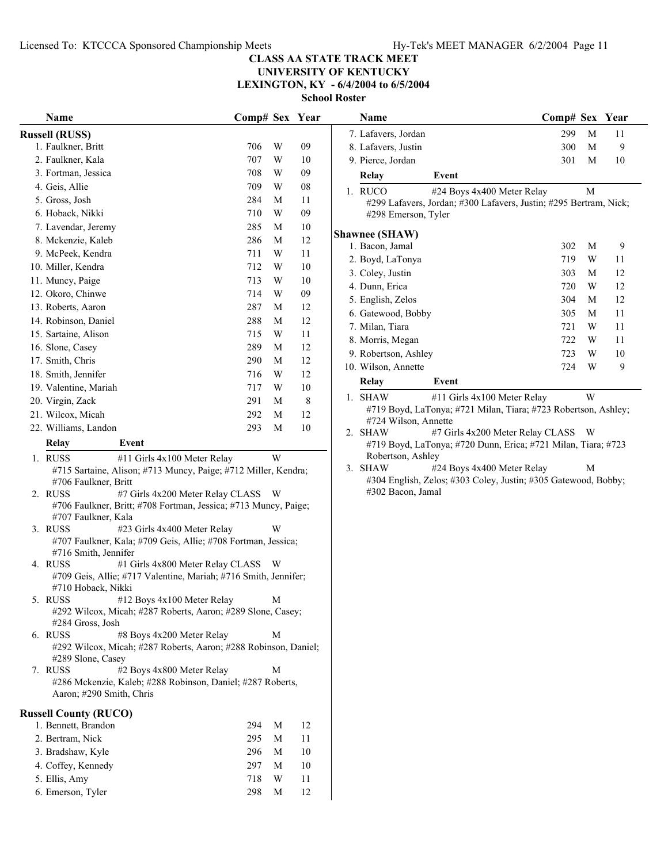**UNIVERSITY OF KENTUCKY**

**LEXINGTON, KY - 6/4/2004 to 6/5/2004**

**School Roster**

| <b>Name</b>                                                                                        | Comp# Sex Year |             |    | Name                                                                               | Comp# Sex Year |        |    |
|----------------------------------------------------------------------------------------------------|----------------|-------------|----|------------------------------------------------------------------------------------|----------------|--------|----|
| <b>Russell (RUSS)</b>                                                                              |                |             |    | 7. Lafavers, Jordan                                                                | 299            | M      | 11 |
| 1. Faulkner, Britt                                                                                 | 706            | W           | 09 | 8. Lafavers, Justin                                                                | 300            | M      | 9  |
| 2. Faulkner, Kala                                                                                  | 707            | W           | 10 | 9. Pierce, Jordan                                                                  | 301            | M      | 10 |
| 3. Fortman, Jessica                                                                                | 708            | W           | 09 | Relay<br>Event                                                                     |                |        |    |
| 4. Geis, Allie                                                                                     | 709            | W           | 08 | 1. RUCO<br>#24 Boys 4x400 Meter Relay                                              |                | M      |    |
| 5. Gross, Josh                                                                                     | 284            | M           | 11 | #299 Lafavers, Jordan; #300 Lafavers, Justin; #295 Bertram, Nick                   |                |        |    |
| 6. Hoback, Nikki                                                                                   | 710            | W           | 09 | #298 Emerson, Tyler                                                                |                |        |    |
| 7. Lavendar, Jeremy                                                                                | 285            | M           | 10 |                                                                                    |                |        |    |
| 8. Mckenzie, Kaleb                                                                                 | 286            | M           | 12 | <b>Shawnee (SHAW)</b>                                                              |                |        |    |
| 9. McPeek, Kendra                                                                                  | 711            | W           | 11 | 1. Bacon, Jamal                                                                    | 302<br>719     | M<br>W | 9  |
| 10. Miller, Kendra                                                                                 | 712            | W           | 10 | 2. Boyd, LaTonya                                                                   |                |        | 11 |
| 11. Muncy, Paige                                                                                   | 713            | W           | 10 | 3. Coley, Justin                                                                   | 303            | M      | 12 |
| 12. Okoro, Chinwe                                                                                  | 714            | W           | 09 | 4. Dunn, Erica                                                                     | 720            | W      | 12 |
| 13. Roberts, Aaron                                                                                 | 287            | M           | 12 | 5. English, Zelos                                                                  | 304            | M      | 12 |
| 14. Robinson, Daniel                                                                               | 288            | $\mathbf M$ | 12 | 6. Gatewood, Bobby                                                                 | 305            | M      | 11 |
| 15. Sartaine, Alison                                                                               | 715            | W           | 11 | 7. Milan, Tiara                                                                    | 721            | W      | 11 |
| 16. Slone, Casey                                                                                   | 289            | M           | 12 | 8. Morris, Megan                                                                   | 722            | W      | 11 |
| 17. Smith, Chris                                                                                   | 290            | M           | 12 | 9. Robertson, Ashley                                                               | 723            | W      | 10 |
| 18. Smith, Jennifer                                                                                | 716            | W           | 12 | 10. Wilson, Annette                                                                | 724            | W      | 9  |
| 19. Valentine, Mariah                                                                              | 717            | W           | 10 | <b>Relay</b><br>Event                                                              |                |        |    |
| 20. Virgin, Zack                                                                                   | 291            | M           | 8  | 1. SHAW<br>#11 Girls 4x100 Meter Relay                                             |                | W      |    |
| 21. Wilcox, Micah                                                                                  | 292            | M           | 12 | #719 Boyd, LaTonya; #721 Milan, Tiara; #723 Robertson, Ashley                      |                |        |    |
| 22. Williams, Landon                                                                               | 293            | M           | 10 | #724 Wilson, Annette                                                               |                |        |    |
| Relay<br>Event                                                                                     |                |             |    | 2. SHAW<br>#7 Girls 4x200 Meter Relay CLASS                                        |                | - W    |    |
|                                                                                                    |                |             |    | #719 Boyd, LaTonya; #720 Dunn, Erica; #721 Milan, Tiara; #723<br>Robertson, Ashley |                |        |    |
| 1. RUSS<br>#11 Girls 4x100 Meter Relay                                                             |                | W           |    | 3. SHAW<br>#24 Boys 4x400 Meter Relay                                              |                | M      |    |
| #715 Sartaine, Alison; #713 Muncy, Paige; #712 Miller, Kendra;<br>#706 Faulkner, Britt             |                |             |    | #304 English, Zelos; #303 Coley, Justin; #305 Gatewood, Bobby;                     |                |        |    |
| 2. RUSS<br>#7 Girls 4x200 Meter Relay CLASS W                                                      |                |             |    | #302 Bacon, Jamal                                                                  |                |        |    |
| #706 Faulkner, Britt; #708 Fortman, Jessica; #713 Muncy, Paige;                                    |                |             |    |                                                                                    |                |        |    |
| #707 Faulkner, Kala                                                                                |                |             |    |                                                                                    |                |        |    |
| 3. RUSS<br>#23 Girls 4x400 Meter Relay                                                             |                | W           |    |                                                                                    |                |        |    |
| #707 Faulkner, Kala; #709 Geis, Allie; #708 Fortman, Jessica;                                      |                |             |    |                                                                                    |                |        |    |
| #716 Smith, Jennifer                                                                               |                |             |    |                                                                                    |                |        |    |
| 4. RUSS<br>#1 Girls 4x800 Meter Relay CLASS W                                                      |                |             |    |                                                                                    |                |        |    |
| #709 Geis, Allie; #717 Valentine, Mariah; #716 Smith, Jennifer;<br>#710 Hoback, Nikki              |                |             |    |                                                                                    |                |        |    |
| 5. RUSS<br>#12 Boys 4x100 Meter Relay                                                              |                | M           |    |                                                                                    |                |        |    |
| #292 Wilcox, Micah; #287 Roberts, Aaron; #289 Slone, Casey;                                        |                |             |    |                                                                                    |                |        |    |
| #284 Gross, Josh                                                                                   |                |             |    |                                                                                    |                |        |    |
| 6. RUSS<br>#8 Boys 4x200 Meter Relay                                                               |                | M           |    |                                                                                    |                |        |    |
| #292 Wilcox, Micah; #287 Roberts, Aaron; #288 Robinson, Daniel;                                    |                |             |    |                                                                                    |                |        |    |
| #289 Slone, Casey                                                                                  |                |             |    |                                                                                    |                |        |    |
| #2 Boys 4x800 Meter Relay<br>7. RUSS<br>#286 Mckenzie, Kaleb; #288 Robinson, Daniel; #287 Roberts, |                | M           |    |                                                                                    |                |        |    |
| Aaron; #290 Smith, Chris                                                                           |                |             |    |                                                                                    |                |        |    |
|                                                                                                    |                |             |    |                                                                                    |                |        |    |
| <b>Russell County (RUCO)</b>                                                                       |                |             |    |                                                                                    |                |        |    |
| 1. Bennett, Brandon                                                                                | 294            | M           | 12 |                                                                                    |                |        |    |
| 2. Bertram, Nick                                                                                   | 295            | M           | 11 |                                                                                    |                |        |    |
| 3. Bradshaw, Kyle                                                                                  | 296            | М           | 10 |                                                                                    |                |        |    |
| 4. Coffey, Kennedy                                                                                 | 297            | M           | 10 |                                                                                    |                |        |    |
| 5. Ellis, Amy                                                                                      | 718            | W           | 11 |                                                                                    |                |        |    |
| 6. Emerson, Tyler                                                                                  | 298            | M           | 12 |                                                                                    |                |        |    |

|                  | Name                                                                                   |                                                                   | Comp# Sex |   | <b>Y</b> ear |  |  |  |  |
|------------------|----------------------------------------------------------------------------------------|-------------------------------------------------------------------|-----------|---|--------------|--|--|--|--|
|                  | 7. Lafavers, Jordan                                                                    |                                                                   | 299       | M | 11           |  |  |  |  |
|                  | 8. Lafavers, Justin                                                                    |                                                                   | 300       | M | 9            |  |  |  |  |
|                  | 9. Pierce, Jordan                                                                      |                                                                   | 301       | M | 10           |  |  |  |  |
|                  | Relay                                                                                  | Event                                                             |           |   |              |  |  |  |  |
|                  | 1. RUCO                                                                                | #24 Boys 4x400 Meter Relay                                        |           | M |              |  |  |  |  |
|                  | #298 Emerson, Tyler                                                                    | #299 Lafavers, Jordan; #300 Lafavers, Justin; #295 Bertram, Nick; |           |   |              |  |  |  |  |
|                  | <b>Shawnee (SHAW)</b>                                                                  |                                                                   |           |   |              |  |  |  |  |
|                  | 1. Bacon, Jamal                                                                        |                                                                   | 302       | М | 9            |  |  |  |  |
|                  | 2. Boyd, LaTonya                                                                       |                                                                   | 719       | W | 11           |  |  |  |  |
|                  | 3. Coley, Justin                                                                       |                                                                   | 303       | M | 12           |  |  |  |  |
|                  | 4. Dunn, Erica                                                                         |                                                                   | 720       | W | 12           |  |  |  |  |
|                  | 5. English, Zelos                                                                      |                                                                   | 304       | M | 12           |  |  |  |  |
|                  | 6. Gatewood, Bobby                                                                     |                                                                   | 305       | M | 11           |  |  |  |  |
|                  | 7. Milan, Tiara                                                                        |                                                                   | 721       | W | 11           |  |  |  |  |
|                  | 8. Morris, Megan                                                                       |                                                                   | 722       | W | 11           |  |  |  |  |
|                  | 9. Robertson, Ashley                                                                   |                                                                   | 723       | W | 10           |  |  |  |  |
|                  | 10. Wilson, Annette                                                                    |                                                                   | 724       | W | 9            |  |  |  |  |
|                  | Relay                                                                                  | Event                                                             |           |   |              |  |  |  |  |
| $1_{-}$          | <b>SHAW</b>                                                                            | #11 Girls 4x100 Meter Relay                                       |           | W |              |  |  |  |  |
|                  | #719 Boyd, LaTonya; #721 Milan, Tiara; #723 Robertson, Ashley;<br>#724 Wilson, Annette |                                                                   |           |   |              |  |  |  |  |
| $\overline{2}$ . | <b>SHAW</b>                                                                            | #7 Girls 4x200 Meter Relay CLASS W                                |           |   |              |  |  |  |  |
|                  |                                                                                        | #719 Boyd, LaTonya; #720 Dunn, Erica; #721 Milan, Tiara; #723     |           |   |              |  |  |  |  |
|                  | Robertson, Ashley                                                                      |                                                                   |           |   |              |  |  |  |  |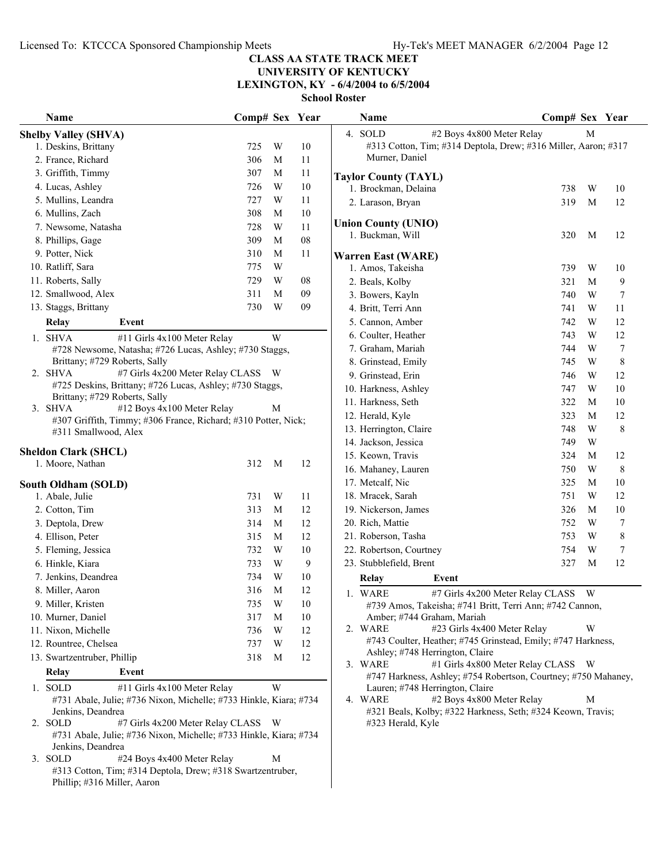# **UNIVERSITY OF KENTUCKY**

**LEXINGTON, KY - 6/4/2004 to 6/5/2004**

| Name                                                               | Comp# Sex Year |                         |            | Name                                                                                   | Comp# Sex Year |                |             |
|--------------------------------------------------------------------|----------------|-------------------------|------------|----------------------------------------------------------------------------------------|----------------|----------------|-------------|
| <b>Shelby Valley (SHVA)</b>                                        |                |                         |            | 4. SOLD<br>#2 Boys 4x800 Meter Relay                                                   |                | M              |             |
| 1. Deskins, Brittany                                               | 725            | W                       | 10         | #313 Cotton, Tim; #314 Deptola, Drew; #316 Miller, Aaron; #317                         |                |                |             |
| 2. France, Richard                                                 | 306            | M                       | 11         | Murner, Daniel                                                                         |                |                |             |
| 3. Griffith, Timmy                                                 | 307            | M                       | 11         | <b>Taylor County (TAYL)</b>                                                            |                |                |             |
| 4. Lucas, Ashley                                                   | 726            | W                       | 10         | 1. Brockman, Delaina                                                                   | 738            | W              | 10          |
| 5. Mullins, Leandra                                                | 727            | W                       | 11         | 2. Larason, Bryan                                                                      | 319            | M              | 12          |
| 6. Mullins, Zach                                                   | 308            | M                       | 10         |                                                                                        |                |                |             |
| 7. Newsome, Natasha                                                | 728            | W                       | 11         | <b>Union County (UNIO)</b>                                                             |                |                |             |
| 8. Phillips, Gage                                                  | 309            | $\mathbf M$             | ${\bf 08}$ | 1. Buckman, Will                                                                       | 320            | M              | 12          |
| 9. Potter, Nick                                                    | 310            | M                       | 11         | <b>Warren East (WARE)</b>                                                              |                |                |             |
| 10. Ratliff, Sara                                                  | 775            | W                       |            | 1. Amos, Takeisha                                                                      | 739            | W              | 10          |
| 11. Roberts, Sally                                                 | 729            | W                       | 08         | 2. Beals, Kolby                                                                        | 321            | М              | 9           |
| 12. Smallwood, Alex                                                | 311            | M                       | 09         | 3. Bowers, Kayln                                                                       | 740            | W              | 7           |
| 13. Staggs, Brittany                                               | 730            | W                       | 09         | 4. Britt, Terri Ann                                                                    | 741            | W              | 11          |
| <b>Relay</b><br>Event                                              |                |                         |            | 5. Cannon, Amber                                                                       | 742            | W              | 12          |
| 1. SHVA<br>#11 Girls 4x100 Meter Relay                             |                | W                       |            | 6. Coulter, Heather                                                                    | 743            | W              | 12          |
| #728 Newsome, Natasha; #726 Lucas, Ashley; #730 Staggs,            |                |                         |            | 7. Graham, Mariah                                                                      | 744            | W              | 7           |
| Brittany; #729 Roberts, Sally                                      |                |                         |            | 8. Grinstead, Emily                                                                    | 745            | W              | $\,$ 8 $\,$ |
| 2. SHVA<br>#7 Girls 4x200 Meter Relay CLASS W                      |                |                         |            | 9. Grinstead, Erin                                                                     | 746            | W              | 12          |
| #725 Deskins, Brittany; #726 Lucas, Ashley; #730 Staggs,           |                |                         |            | 10. Harkness, Ashley                                                                   | 747            | W              | 10          |
| Brittany; #729 Roberts, Sally                                      |                |                         |            | 11. Harkness, Seth                                                                     | 322            | M              | 10          |
| #12 Boys 4x100 Meter Relay<br>3. SHVA                              |                | M                       |            | 12. Herald, Kyle                                                                       | 323            | М              | 12          |
| #307 Griffith, Timmy; #306 France, Richard; #310 Potter, Nick;     |                |                         |            | 13. Herrington, Claire                                                                 | 748            | W              | 8           |
| #311 Smallwood, Alex                                               |                |                         |            | 14. Jackson, Jessica                                                                   | 749            | W              |             |
| <b>Sheldon Clark (SHCL)</b>                                        |                |                         |            | 15. Keown, Travis                                                                      | 324            | M              | 12          |
| 1. Moore, Nathan                                                   | 312            | M                       | 12         | 16. Mahaney, Lauren                                                                    | 750            | W              | 8           |
| South Oldham (SOLD)                                                |                |                         |            | 17. Metcalf, Nic                                                                       | 325            | М              | 10          |
| 1. Abale, Julie                                                    | 731            | W                       | 11         | 18. Mracek, Sarah                                                                      | 751            | W              | 12          |
| 2. Cotton, Tim                                                     | 313            | M                       | 12         | 19. Nickerson, James                                                                   | 326            | M              | 10          |
| 3. Deptola, Drew                                                   | 314            | M                       | 12         | 20. Rich, Mattie                                                                       | 752            | W              | 7           |
| 4. Ellison, Peter                                                  | 315            | M                       | 12         | 21. Roberson, Tasha                                                                    | 753            | W              | $\,$ 8 $\,$ |
| 5. Fleming, Jessica                                                | 732            | W                       | 10         | 22. Robertson, Courtney                                                                | 754            | W              | $\tau$      |
| 6. Hinkle, Kiara                                                   | 733            | W                       | 9          | 23. Stubblefield, Brent                                                                | 327            | M              | 12          |
| 7. Jenkins, Deandrea                                               | 734            | W                       | 10         | Relay<br>Event                                                                         |                |                |             |
| 8. Miller, Aaron                                                   | 316            | M                       | 12         |                                                                                        |                |                |             |
| 9. Miller, Kristen                                                 | 735            | $\ensuremath{\text{W}}$ | $10\,$     | 1. WARE<br>#7 Girls 4x200 Meter Relay CLASS                                            |                | W <sub>\</sub> |             |
| 10. Murner, Daniel                                                 | 317            | M                       | 10         | #739 Amos, Takeisha; #741 Britt, Terri Ann; #742 Cannon,<br>Amber; #744 Graham, Mariah |                |                |             |
| 11. Nixon, Michelle                                                | 736            | W                       | 12         | 2. WARE<br>#23 Girls 4x400 Meter Relay                                                 |                | W              |             |
| 12. Rountree, Chelsea                                              | 737            | W                       | 12         | #743 Coulter, Heather; #745 Grinstead, Emily; #747 Harkness,                           |                |                |             |
| 13. Swartzentruber, Phillip                                        | 318            | M                       | 12         | Ashley; #748 Herrington, Claire                                                        |                |                |             |
|                                                                    |                |                         |            | 3. WARE<br>#1 Girls 4x800 Meter Relay CLASS W                                          |                |                |             |
| Relay<br>Event                                                     |                |                         |            | #747 Harkness, Ashley; #754 Robertson, Courtney; #750 Mahaney,                         |                |                |             |
| 1. SOLD<br>#11 Girls 4x100 Meter Relay                             |                | W                       |            | Lauren; #748 Herrington, Claire                                                        |                |                |             |
| #731 Abale, Julie; #736 Nixon, Michelle; #733 Hinkle, Kiara; #734  |                |                         |            | #2 Boys 4x800 Meter Relay<br>4. WARE                                                   |                | M              |             |
| Jenkins, Deandrea<br>2. SOLD<br>#7 Girls 4x200 Meter Relay CLASS W |                |                         |            | #321 Beals, Kolby; #322 Harkness, Seth; #324 Keown, Travis;<br>#323 Herald, Kyle       |                |                |             |
| #731 Abale, Julie; #736 Nixon, Michelle; #733 Hinkle, Kiara; #734  |                |                         |            |                                                                                        |                |                |             |
| Jenkins, Deandrea                                                  |                |                         |            |                                                                                        |                |                |             |
| 3. SOLD<br>#24 Boys 4x400 Meter Relay                              |                | M                       |            |                                                                                        |                |                |             |
| #313 Cotton, Tim; #314 Deptola, Drew; #318 Swartzentruber,         |                |                         |            |                                                                                        |                |                |             |
| Phillip; #316 Miller, Aaron                                        |                |                         |            |                                                                                        |                |                |             |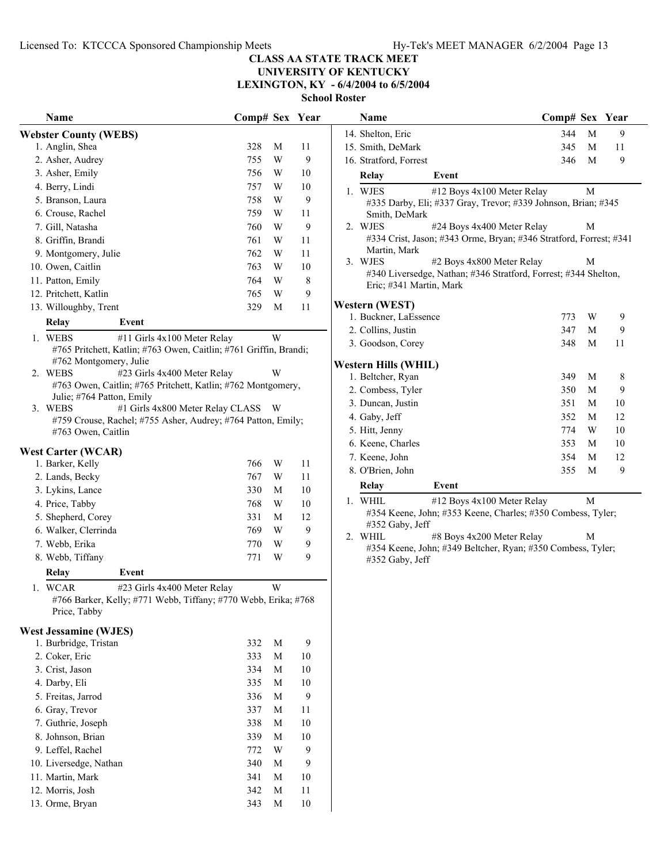**UNIVERSITY OF KENTUCKY**

**LEXINGTON, KY - 6/4/2004 to 6/5/2004**

**School Roster**

| Name                                                                                                        | Comp# Sex Year |                         |              | Name                                             |                                                                                          | Comp# Sex Year |              |    |
|-------------------------------------------------------------------------------------------------------------|----------------|-------------------------|--------------|--------------------------------------------------|------------------------------------------------------------------------------------------|----------------|--------------|----|
| <b>Webster County (WEBS)</b>                                                                                |                |                         |              | 14. Shelton, Eric                                |                                                                                          | 344            | M            | 9  |
| 1. Anglin, Shea                                                                                             | 328            | M                       | 11           | 15. Smith, DeMark                                |                                                                                          | 345            | M            | 11 |
| 2. Asher, Audrey                                                                                            | 755            | W                       | 9            | 16. Stratford, Forrest                           |                                                                                          | 346            | M            | 9  |
| 3. Asher, Emily                                                                                             | 756            | W                       | 10           | <b>Relay</b>                                     | Event                                                                                    |                |              |    |
| 4. Berry, Lindi                                                                                             | 757            | W                       | 10           | 1. WJES                                          | #12 Boys 4x100 Meter Relay                                                               |                | $\mathbf{M}$ |    |
| 5. Branson, Laura                                                                                           | 758            | W                       | 9            |                                                  | #335 Darby, Eli; #337 Gray, Trevor; #339 Johnson, Brian; #345                            |                |              |    |
| 6. Crouse, Rachel                                                                                           | 759            | W                       | 11           |                                                  | Smith, DeMark                                                                            |                |              |    |
| 7. Gill, Natasha                                                                                            | 760            | W                       | 9            | 2. WJES                                          | #24 Boys 4x400 Meter Relay                                                               |                | M            |    |
| 8. Griffin, Brandi                                                                                          | 761            | $\ensuremath{\text{W}}$ | 11           |                                                  | #334 Crist, Jason; #343 Orme, Bryan; #346 Stratford, Forrest; #34                        |                |              |    |
| 9. Montgomery, Julie                                                                                        | 762            | W                       | 11           | Martin, Mark                                     |                                                                                          |                |              |    |
| 10. Owen, Caitlin                                                                                           | 763            | W                       | 10           | 3. WJES                                          | #2 Boys 4x800 Meter Relay                                                                |                | М            |    |
| 11. Patton, Emily                                                                                           | 764            | W                       | 8            |                                                  | #340 Liversedge, Nathan; #346 Stratford, Forrest; #344 Shelton,                          |                |              |    |
| 12. Pritchett, Katlin                                                                                       | 765            | W                       | $\mathbf{9}$ |                                                  | Eric; #341 Martin, Mark                                                                  |                |              |    |
| 13. Willoughby, Trent                                                                                       | 329            | M                       | 11           | <b>Western (WEST)</b>                            |                                                                                          |                |              |    |
| Relay<br>Event                                                                                              |                |                         |              | 1. Buckner, LaEssence                            |                                                                                          | 773            | W            | 9  |
|                                                                                                             |                |                         |              | 2. Collins, Justin                               |                                                                                          | 347            | M            | 9  |
| 1. WEBS<br>#11 Girls 4x100 Meter Relay<br>#765 Pritchett, Katlin; #763 Owen, Caitlin; #761 Griffin, Brandi; |                | W                       |              | 3. Goodson, Corey                                |                                                                                          | 348            | M            | 11 |
| #762 Montgomery, Julie                                                                                      |                |                         |              |                                                  |                                                                                          |                |              |    |
| 2. WEBS<br>#23 Girls 4x400 Meter Relay                                                                      |                | W                       |              | <b>Western Hills (WHIL)</b><br>1. Beltcher, Ryan |                                                                                          | 349            |              |    |
| #763 Owen, Caitlin; #765 Pritchett, Katlin; #762 Montgomery,                                                |                |                         |              |                                                  |                                                                                          |                | M            | 8  |
| Julie; #764 Patton, Emily                                                                                   |                |                         |              | 2. Combess, Tyler                                |                                                                                          | 350            | M            | 9  |
| 3. WEBS<br>#1 Girls 4x800 Meter Relay CLASS W                                                               |                |                         |              | 3. Duncan, Justin                                |                                                                                          | 351            | M            | 10 |
| #759 Crouse, Rachel; #755 Asher, Audrey; #764 Patton, Emily;                                                |                |                         |              | 4. Gaby, Jeff                                    |                                                                                          | 352            | M            | 12 |
| #763 Owen, Caitlin                                                                                          |                |                         |              | 5. Hitt, Jenny                                   |                                                                                          | 774            | W            | 10 |
| <b>West Carter (WCAR)</b>                                                                                   |                |                         |              | 6. Keene, Charles                                |                                                                                          | 353            | M            | 10 |
| 1. Barker, Kelly                                                                                            | 766            | W                       | 11           | 7. Keene, John                                   |                                                                                          | 354            | M            | 12 |
| 2. Lands, Becky                                                                                             | 767            | W                       | 11           | 8. O'Brien, John                                 |                                                                                          | 355            | M            | 9  |
| 3. Lykins, Lance                                                                                            | 330            | M                       | $10\,$       | <b>Relay</b>                                     | Event                                                                                    |                |              |    |
| 4. Price, Tabby                                                                                             | 768            | $\ensuremath{\text{W}}$ | 10           | 1. WHIL                                          | #12 Boys 4x100 Meter Relay                                                               |                | M            |    |
| 5. Shepherd, Corey                                                                                          | 331            | $\mathbf M$             | 12           |                                                  | #354 Keene, John; #353 Keene, Charles; #350 Combess, Tyler;                              |                |              |    |
| 6. Walker, Clerrinda                                                                                        | 769            | W                       | 9            |                                                  | #352 Gaby, Jeff                                                                          |                |              |    |
| 7. Webb, Erika                                                                                              | 770            | $\ensuremath{\text{W}}$ | 9            | 2. WHIL                                          | #8 Boys 4x200 Meter Relay<br>#354 Keene, John; #349 Beltcher, Ryan; #350 Combess, Tyler; |                | M            |    |
| 8. Webb, Tiffany                                                                                            | 771            | W                       | 9            |                                                  | #352 Gaby, Jeff                                                                          |                |              |    |
| <b>Relay</b><br>Event                                                                                       |                |                         |              |                                                  |                                                                                          |                |              |    |
| 1. WCAR<br>#23 Girls 4x400 Meter Relay                                                                      |                | W                       |              |                                                  |                                                                                          |                |              |    |
| #766 Barker, Kelly; #771 Webb, Tiffany; #770 Webb, Erika; #768<br>Price, Tabby                              |                |                         |              |                                                  |                                                                                          |                |              |    |
| <b>West Jessamine (WJES)</b>                                                                                |                |                         |              |                                                  |                                                                                          |                |              |    |
| 1. Burbridge, Tristan                                                                                       | 332            | M                       | 9            |                                                  |                                                                                          |                |              |    |
| 2. Coker, Eric                                                                                              | 333            | $\mathbf M$             | 10           |                                                  |                                                                                          |                |              |    |
| 3. Crist, Jason                                                                                             | 334            | M                       | 10           |                                                  |                                                                                          |                |              |    |
| 4. Darby, Eli                                                                                               | 335            | M                       | 10           |                                                  |                                                                                          |                |              |    |
| 5. Freitas, Jarrod                                                                                          | 336            | M                       | 9            |                                                  |                                                                                          |                |              |    |
| 6. Gray, Trevor                                                                                             | 337            | M                       | 11           |                                                  |                                                                                          |                |              |    |
| 7. Guthrie, Joseph                                                                                          | 338            | M                       | 10           |                                                  |                                                                                          |                |              |    |
| 8. Johnson, Brian                                                                                           | 339            | M                       | 10           |                                                  |                                                                                          |                |              |    |
| 9. Leffel, Rachel                                                                                           | 772            | W                       | 9            |                                                  |                                                                                          |                |              |    |
| 10. Liversedge, Nathan                                                                                      | 340            | M                       | 9            |                                                  |                                                                                          |                |              |    |
| 11. Martin, Mark                                                                                            | 341            | M                       | 10           |                                                  |                                                                                          |                |              |    |
| 12. Morris, Josh                                                                                            | 342            | M                       | 11           |                                                  |                                                                                          |                |              |    |
| 13. Orme, Bryan                                                                                             | 343            | M                       | 10           |                                                  |                                                                                          |                |              |    |
|                                                                                                             |                |                         |              |                                                  |                                                                                          |                |              |    |

|                | Name                    |                                                                    | Comp# Sex |   | Year |
|----------------|-------------------------|--------------------------------------------------------------------|-----------|---|------|
|                | 14. Shelton, Eric       |                                                                    | 344       | M | 9    |
|                | 15. Smith, DeMark       |                                                                    | 345       | M | 11   |
|                | 16. Stratford, Forrest  |                                                                    | 346       | M | 9    |
|                | Relay                   | Event                                                              |           |   |      |
|                | 1. WJES                 | #12 Boys 4x100 Meter Relay                                         |           | M |      |
|                | Smith, DeMark           | #335 Darby, Eli; #337 Gray, Trevor; #339 Johnson, Brian; #345      |           |   |      |
| 2 <sub>1</sub> | WJES                    | #24 Boys 4x400 Meter Relay                                         |           | М |      |
|                | Martin, Mark            | #334 Crist, Jason; #343 Orme, Bryan; #346 Stratford, Forrest; #341 |           |   |      |
|                | 3. WJES                 | #2 Boys 4x800 Meter Relay                                          |           | М |      |
|                | Eric; #341 Martin, Mark | #340 Liversedge, Nathan; #346 Stratford, Forrest; #344 Shelton,    |           |   |      |
|                | Western (WEST)          |                                                                    |           |   |      |
|                | 1. Buckner, LaEssence   |                                                                    | 773       | W | 9    |
|                | 2. Collins, Justin      |                                                                    | 347       | M | 9    |
|                | 3. Goodson, Corey       |                                                                    | 348       | М | 11   |
|                | Western Hills (WHIL)    |                                                                    |           |   |      |
|                | 1. Beltcher, Ryan       |                                                                    | 349       | M | 8    |
|                | 2. Combess, Tyler       |                                                                    | 350       | M | 9    |
|                | 3. Duncan, Justin       |                                                                    | 351       | M | 10   |
|                | 4. Gaby, Jeff           |                                                                    | 352       | M | 12   |
|                | 5. Hitt, Jenny          |                                                                    | 774       | W | 10   |
|                | 6. Keene, Charles       |                                                                    | 353       | M | 10   |
|                | 7. Keene, John          |                                                                    | 354       | M | 12   |
|                | 8. O'Brien, John        |                                                                    | 355       | M | 9    |
|                | Relay                   | Event                                                              |           |   |      |
|                | $1$ WHIT                | $#12$ Rove $A$ v $100$ Meter Relay                                 |           | M |      |